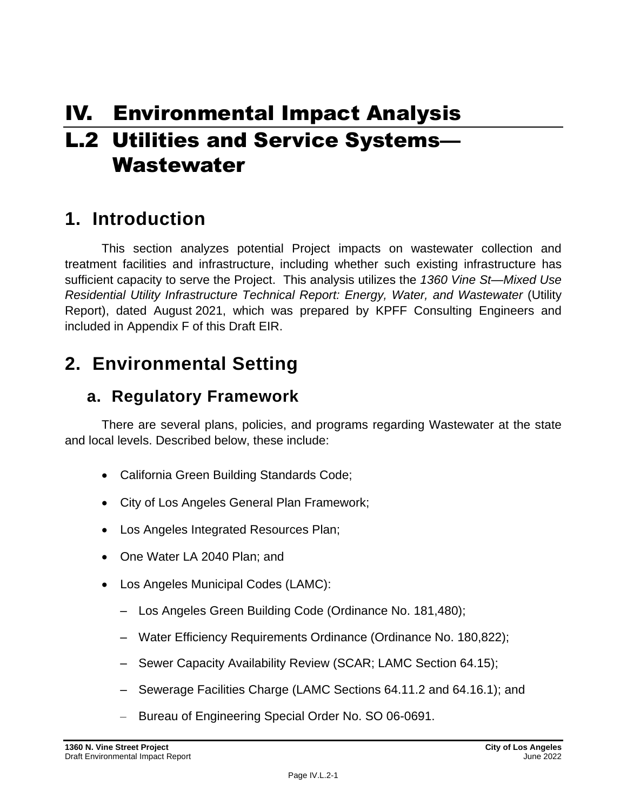# IV. Environmental Impact Analysis **L.2 Utilities and Service Systems-**Wastewater

## **1. Introduction**

This section analyzes potential Project impacts on wastewater collection and treatment facilities and infrastructure, including whether such existing infrastructure has sufficient capacity to serve the Project. This analysis utilizes the *1360 Vine St—Mixed Use Residential Utility Infrastructure Technical Report: Energy, Water, and Wastewater* (Utility Report), dated August 2021, which was prepared by KPFF Consulting Engineers and included in Appendix F of this Draft EIR.

## **2. Environmental Setting**

## **a. Regulatory Framework**

There are several plans, policies, and programs regarding Wastewater at the state and local levels. Described below, these include:

- California Green Building Standards Code;
- City of Los Angeles General Plan Framework;
- Los Angeles Integrated Resources Plan;
- One Water LA 2040 Plan; and
- Los Angeles Municipal Codes (LAMC):
	- Los Angeles Green Building Code (Ordinance No. 181,480);
	- Water Efficiency Requirements Ordinance (Ordinance No. 180,822);
	- Sewer Capacity Availability Review (SCAR; LAMC Section 64.15);
	- Sewerage Facilities Charge (LAMC Sections 64.11.2 and 64.16.1); and
	- Bureau of Engineering Special Order No. SO 06-0691.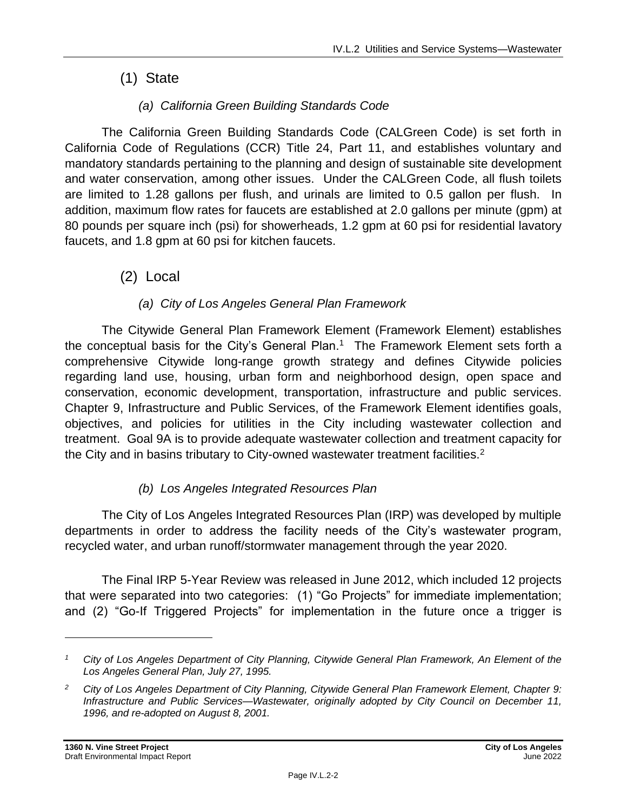## (1) State

## *(a) California Green Building Standards Code*

The California Green Building Standards Code (CALGreen Code) is set forth in California Code of Regulations (CCR) Title 24, Part 11, and establishes voluntary and mandatory standards pertaining to the planning and design of sustainable site development and water conservation, among other issues. Under the CALGreen Code, all flush toilets are limited to 1.28 gallons per flush, and urinals are limited to 0.5 gallon per flush. In addition, maximum flow rates for faucets are established at 2.0 gallons per minute (gpm) at 80 pounds per square inch (psi) for showerheads, 1.2 gpm at 60 psi for residential lavatory faucets, and 1.8 gpm at 60 psi for kitchen faucets.

(2) Local

### *(a) City of Los Angeles General Plan Framework*

The Citywide General Plan Framework Element (Framework Element) establishes the conceptual basis for the City's General Plan.<sup>1</sup> The Framework Element sets forth a comprehensive Citywide long-range growth strategy and defines Citywide policies regarding land use, housing, urban form and neighborhood design, open space and conservation, economic development, transportation, infrastructure and public services. Chapter 9, Infrastructure and Public Services, of the Framework Element identifies goals, objectives, and policies for utilities in the City including wastewater collection and treatment. Goal 9A is to provide adequate wastewater collection and treatment capacity for the City and in basins tributary to City-owned wastewater treatment facilities.<sup>2</sup>

### *(b) Los Angeles Integrated Resources Plan*

The City of Los Angeles Integrated Resources Plan (IRP) was developed by multiple departments in order to address the facility needs of the City's wastewater program, recycled water, and urban runoff/stormwater management through the year 2020.

The Final IRP 5-Year Review was released in June 2012, which included 12 projects that were separated into two categories: (1) "Go Projects" for immediate implementation; and (2) "Go-If Triggered Projects" for implementation in the future once a trigger is

*<sup>1</sup> City of Los Angeles Department of City Planning, Citywide General Plan Framework, An Element of the Los Angeles General Plan, July 27, 1995.*

*<sup>2</sup> City of Los Angeles Department of City Planning, Citywide General Plan Framework Element, Chapter 9: Infrastructure and Public Services—Wastewater, originally adopted by City Council on December 11, 1996, and re-adopted on August 8, 2001.*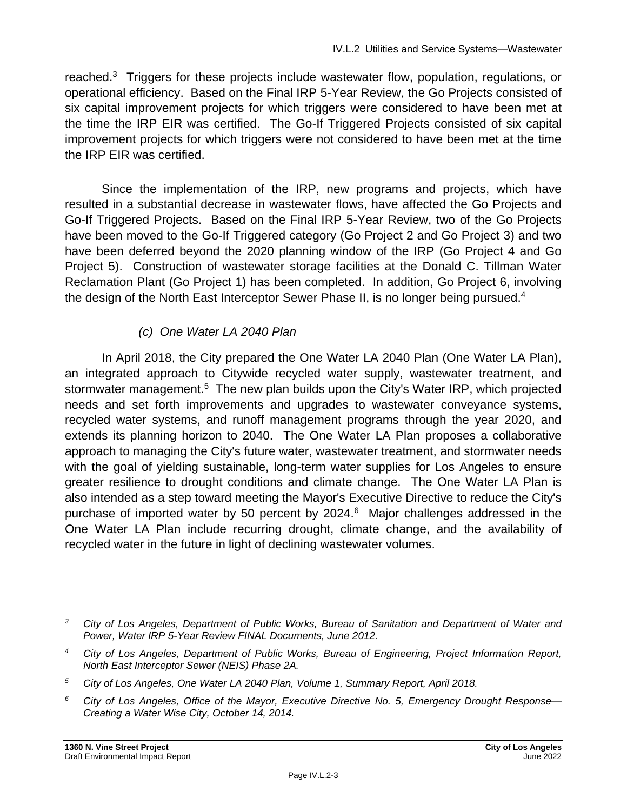reached.<sup>3</sup> Triggers for these projects include wastewater flow, population, regulations, or operational efficiency. Based on the Final IRP 5-Year Review, the Go Projects consisted of six capital improvement projects for which triggers were considered to have been met at the time the IRP EIR was certified. The Go-If Triggered Projects consisted of six capital improvement projects for which triggers were not considered to have been met at the time the IRP EIR was certified.

Since the implementation of the IRP, new programs and projects, which have resulted in a substantial decrease in wastewater flows, have affected the Go Projects and Go-If Triggered Projects. Based on the Final IRP 5-Year Review, two of the Go Projects have been moved to the Go-If Triggered category (Go Project 2 and Go Project 3) and two have been deferred beyond the 2020 planning window of the IRP (Go Project 4 and Go Project 5). Construction of wastewater storage facilities at the Donald C. Tillman Water Reclamation Plant (Go Project 1) has been completed. In addition, Go Project 6, involving the design of the North East Interceptor Sewer Phase II, is no longer being pursued.<sup>4</sup>

## *(c) One Water LA 2040 Plan*

In April 2018, the City prepared the One Water LA 2040 Plan (One Water LA Plan), an integrated approach to Citywide recycled water supply, wastewater treatment, and stormwater management.<sup>5</sup> The new plan builds upon the City's Water IRP, which projected needs and set forth improvements and upgrades to wastewater conveyance systems, recycled water systems, and runoff management programs through the year 2020, and extends its planning horizon to 2040. The One Water LA Plan proposes a collaborative approach to managing the City's future water, wastewater treatment, and stormwater needs with the goal of yielding sustainable, long-term water supplies for Los Angeles to ensure greater resilience to drought conditions and climate change. The One Water LA Plan is also intended as a step toward meeting the Mayor's Executive Directive to reduce the City's purchase of imported water by 50 percent by 2024.<sup>6</sup> Major challenges addressed in the One Water LA Plan include recurring drought, climate change, and the availability of recycled water in the future in light of declining wastewater volumes.

*<sup>3</sup> City of Los Angeles, Department of Public Works, Bureau of Sanitation and Department of Water and Power, Water IRP 5-Year Review FINAL Documents, June 2012.*

*<sup>4</sup> City of Los Angeles, Department of Public Works, Bureau of Engineering, Project Information Report, North East Interceptor Sewer (NEIS) Phase 2A.*

*<sup>5</sup> City of Los Angeles, One Water LA 2040 Plan, Volume 1, Summary Report, April 2018.*

*<sup>6</sup> City of Los Angeles, Office of the Mayor, Executive Directive No. 5, Emergency Drought Response— Creating a Water Wise City, October 14, 2014.*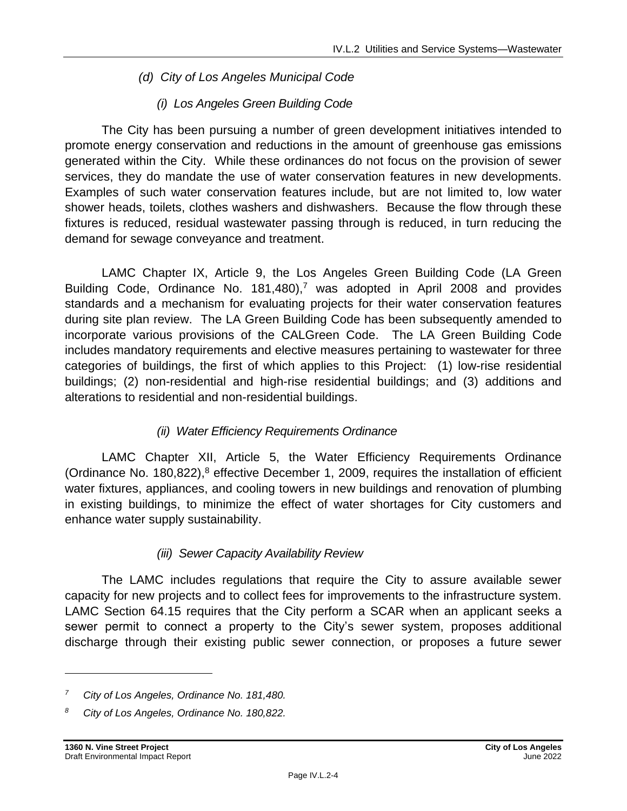### *(d) City of Los Angeles Municipal Code*

### *(i) Los Angeles Green Building Code*

The City has been pursuing a number of green development initiatives intended to promote energy conservation and reductions in the amount of greenhouse gas emissions generated within the City. While these ordinances do not focus on the provision of sewer services, they do mandate the use of water conservation features in new developments. Examples of such water conservation features include, but are not limited to, low water shower heads, toilets, clothes washers and dishwashers. Because the flow through these fixtures is reduced, residual wastewater passing through is reduced, in turn reducing the demand for sewage conveyance and treatment.

LAMC Chapter IX, Article 9, the Los Angeles Green Building Code (LA Green Building Code, Ordinance No.  $181,480$ ,<sup>7</sup> was adopted in April 2008 and provides standards and a mechanism for evaluating projects for their water conservation features during site plan review. The LA Green Building Code has been subsequently amended to incorporate various provisions of the CALGreen Code. The LA Green Building Code includes mandatory requirements and elective measures pertaining to wastewater for three categories of buildings, the first of which applies to this Project: (1) low-rise residential buildings; (2) non-residential and high-rise residential buildings; and (3) additions and alterations to residential and non-residential buildings.

### *(ii) Water Efficiency Requirements Ordinance*

LAMC Chapter XII, Article 5, the Water Efficiency Requirements Ordinance (Ordinance No. 180,822), $8$  effective December 1, 2009, requires the installation of efficient water fixtures, appliances, and cooling towers in new buildings and renovation of plumbing in existing buildings, to minimize the effect of water shortages for City customers and enhance water supply sustainability.

### *(iii) Sewer Capacity Availability Review*

The LAMC includes regulations that require the City to assure available sewer capacity for new projects and to collect fees for improvements to the infrastructure system. LAMC Section 64.15 requires that the City perform a SCAR when an applicant seeks a sewer permit to connect a property to the City's sewer system, proposes additional discharge through their existing public sewer connection, or proposes a future sewer

*<sup>7</sup> City of Los Angeles, Ordinance No. 181,480.*

*<sup>8</sup> City of Los Angeles, Ordinance No. 180,822.*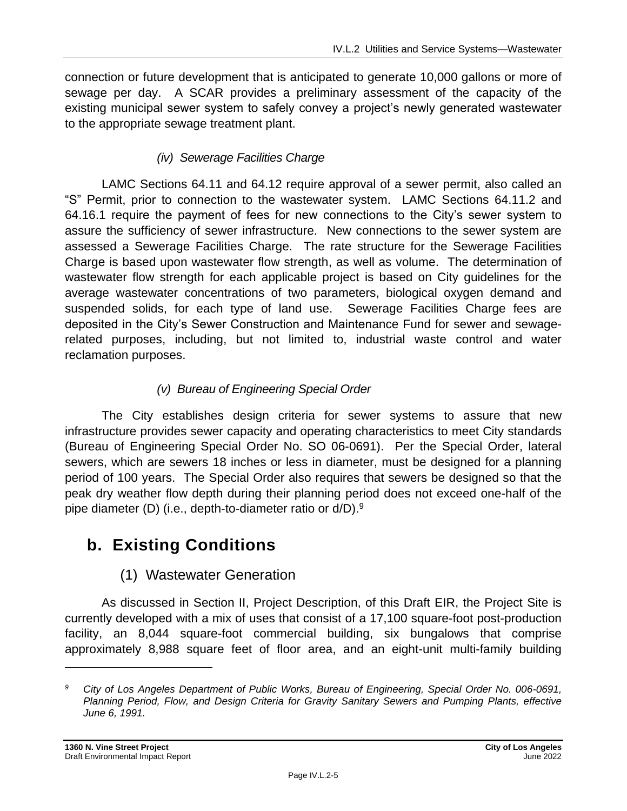connection or future development that is anticipated to generate 10,000 gallons or more of sewage per day. A SCAR provides a preliminary assessment of the capacity of the existing municipal sewer system to safely convey a project's newly generated wastewater to the appropriate sewage treatment plant.

## *(iv) Sewerage Facilities Charge*

LAMC Sections 64.11 and 64.12 require approval of a sewer permit, also called an "S" Permit, prior to connection to the wastewater system. LAMC Sections 64.11.2 and 64.16.1 require the payment of fees for new connections to the City's sewer system to assure the sufficiency of sewer infrastructure. New connections to the sewer system are assessed a Sewerage Facilities Charge. The rate structure for the Sewerage Facilities Charge is based upon wastewater flow strength, as well as volume. The determination of wastewater flow strength for each applicable project is based on City guidelines for the average wastewater concentrations of two parameters, biological oxygen demand and suspended solids, for each type of land use. Sewerage Facilities Charge fees are deposited in the City's Sewer Construction and Maintenance Fund for sewer and sewagerelated purposes, including, but not limited to, industrial waste control and water reclamation purposes.

## *(v) Bureau of Engineering Special Order*

The City establishes design criteria for sewer systems to assure that new infrastructure provides sewer capacity and operating characteristics to meet City standards (Bureau of Engineering Special Order No. SO 06-0691). Per the Special Order, lateral sewers, which are sewers 18 inches or less in diameter, must be designed for a planning period of 100 years. The Special Order also requires that sewers be designed so that the peak dry weather flow depth during their planning period does not exceed one-half of the pipe diameter (D) (i.e., depth-to-diameter ratio or d/D).<sup>9</sup>

## **b. Existing Conditions**

## (1) Wastewater Generation

As discussed in Section II, Project Description, of this Draft EIR, the Project Site is currently developed with a mix of uses that consist of a 17,100 square-foot post-production facility, an 8,044 square-foot commercial building, six bungalows that comprise approximately 8,988 square feet of floor area, and an eight-unit multi-family building

*<sup>9</sup> City of Los Angeles Department of Public Works, Bureau of Engineering, Special Order No. 006-0691, Planning Period, Flow, and Design Criteria for Gravity Sanitary Sewers and Pumping Plants, effective June 6, 1991.*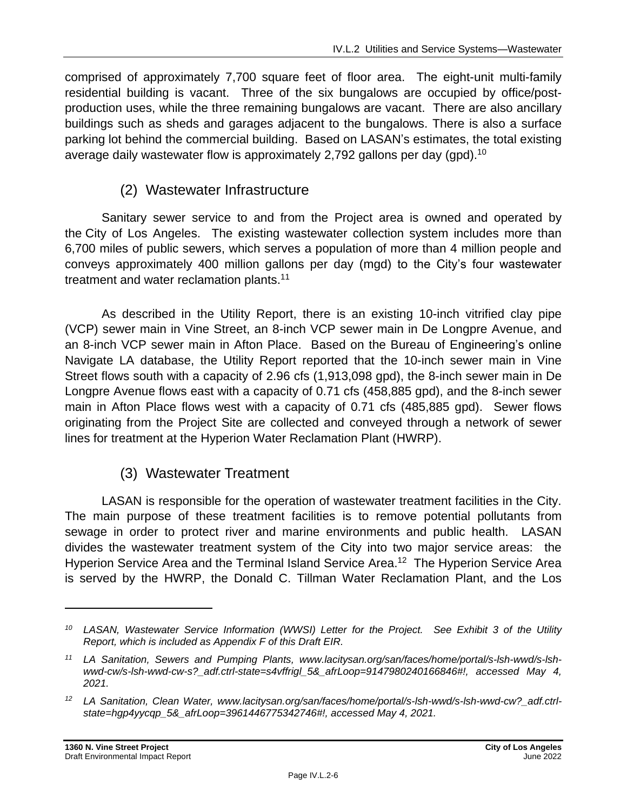comprised of approximately 7,700 square feet of floor area. The eight-unit multi-family residential building is vacant. Three of the six bungalows are occupied by office/postproduction uses, while the three remaining bungalows are vacant. There are also ancillary buildings such as sheds and garages adjacent to the bungalows. There is also a surface parking lot behind the commercial building. Based on LASAN's estimates, the total existing average daily wastewater flow is approximately 2,792 gallons per day (gpd).<sup>10</sup>

## (2) Wastewater Infrastructure

Sanitary sewer service to and from the Project area is owned and operated by the City of Los Angeles. The existing wastewater collection system includes more than 6,700 miles of public sewers, which serves a population of more than 4 million people and conveys approximately 400 million gallons per day (mgd) to the City's four wastewater treatment and water reclamation plants.<sup>11</sup>

As described in the Utility Report, there is an existing 10-inch vitrified clay pipe (VCP) sewer main in Vine Street, an 8-inch VCP sewer main in De Longpre Avenue, and an 8-inch VCP sewer main in Afton Place. Based on the Bureau of Engineering's online Navigate LA database, the Utility Report reported that the 10-inch sewer main in Vine Street flows south with a capacity of 2.96 cfs (1,913,098 gpd), the 8-inch sewer main in De Longpre Avenue flows east with a capacity of 0.71 cfs (458,885 gpd), and the 8-inch sewer main in Afton Place flows west with a capacity of 0.71 cfs (485,885 gpd). Sewer flows originating from the Project Site are collected and conveyed through a network of sewer lines for treatment at the Hyperion Water Reclamation Plant (HWRP).

## (3) Wastewater Treatment

LASAN is responsible for the operation of wastewater treatment facilities in the City. The main purpose of these treatment facilities is to remove potential pollutants from sewage in order to protect river and marine environments and public health. LASAN divides the wastewater treatment system of the City into two major service areas: the Hyperion Service Area and the Terminal Island Service Area.<sup>12</sup> The Hyperion Service Area is served by the HWRP, the Donald C. Tillman Water Reclamation Plant, and the Los

*<sup>10</sup> LASAN, Wastewater Service Information (WWSI) Letter for the Project. See Exhibit 3 of the Utility Report, which is included as Appendix F of this Draft EIR.*

*<sup>11</sup> LA Sanitation, Sewers and Pumping Plants, www.lacitysan.org/san/faces/home/portal/s-lsh-wwd/s-lshwwd-cw/s-lsh-wwd-cw-s?\_adf.ctrl-state=s4vffrigl\_5&\_afrLoop=9147980240166846#!, accessed May 4, 2021.*

*<sup>12</sup> LA Sanitation, Clean Water, www.lacitysan.org/san/faces/home/portal/s-lsh-wwd/s-lsh-wwd-cw?\_adf.ctrlstate=hgp4yycqp\_5&\_afrLoop=3961446775342746#!, accessed May 4, 2021.*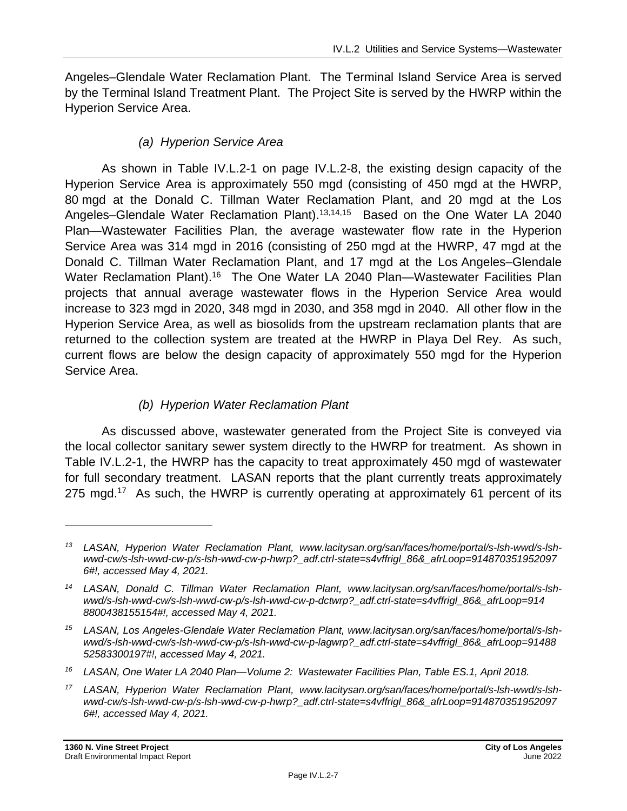Angeles–Glendale Water Reclamation Plant. The Terminal Island Service Area is served by the Terminal Island Treatment Plant. The Project Site is served by the HWRP within the Hyperion Service Area.

## *(a) Hyperion Service Area*

As shown in Table IV.L.2-1 on page IV.L.2-8, the existing design capacity of the Hyperion Service Area is approximately 550 mgd (consisting of 450 mgd at the HWRP, 80 mgd at the Donald C. Tillman Water Reclamation Plant, and 20 mgd at the Los Angeles–Glendale Water Reclamation Plant).<sup>13,14,15</sup> Based on the One Water LA 2040 Plan—Wastewater Facilities Plan, the average wastewater flow rate in the Hyperion Service Area was 314 mgd in 2016 (consisting of 250 mgd at the HWRP, 47 mgd at the Donald C. Tillman Water Reclamation Plant, and 17 mgd at the Los Angeles–Glendale Water Reclamation Plant).<sup>16</sup> The One Water LA 2040 Plan—Wastewater Facilities Plan projects that annual average wastewater flows in the Hyperion Service Area would increase to 323 mgd in 2020, 348 mgd in 2030, and 358 mgd in 2040. All other flow in the Hyperion Service Area, as well as biosolids from the upstream reclamation plants that are returned to the collection system are treated at the HWRP in Playa Del Rey. As such, current flows are below the design capacity of approximately 550 mgd for the Hyperion Service Area.

## *(b) Hyperion Water Reclamation Plant*

As discussed above, wastewater generated from the Project Site is conveyed via the local collector sanitary sewer system directly to the HWRP for treatment. As shown in Table IV.L.2-1, the HWRP has the capacity to treat approximately 450 mgd of wastewater for full secondary treatment. LASAN reports that the plant currently treats approximately 275 mgd.<sup>17</sup> As such, the HWRP is currently operating at approximately 61 percent of its

*<sup>13</sup> LASAN, Hyperion Water Reclamation Plant, www.lacitysan.org/san/faces/home/portal/s-lsh-wwd/s-lshwwd-cw/s-lsh-wwd-cw-p/s-lsh-wwd-cw-p-hwrp?\_adf.ctrl-state=s4vffrigl\_86&\_afrLoop=914870351952097 6#!, accessed May 4, 2021.*

*<sup>14</sup> LASAN, Donald C. Tillman Water Reclamation Plant, www.lacitysan.org/san/faces/home/portal/s-lshwwd/s-lsh-wwd-cw/s-lsh-wwd-cw-p/s-lsh-wwd-cw-p-dctwrp?\_adf.ctrl-state=s4vffrigl\_86&\_afrLoop=914 8800438155154#!, accessed May 4, 2021.*

*<sup>15</sup> LASAN, Los Angeles-Glendale Water Reclamation Plant, www.lacitysan.org/san/faces/home/portal/s-lshwwd/s-lsh-wwd-cw/s-lsh-wwd-cw-p/s-lsh-wwd-cw-p-lagwrp?\_adf.ctrl-state=s4vffrigl\_86&\_afrLoop=91488 52583300197#!, accessed May 4, 2021.*

*<sup>16</sup> LASAN, One Water LA 2040 Plan—Volume 2: Wastewater Facilities Plan, Table ES.1, April 2018.*

*<sup>17</sup> LASAN, Hyperion Water Reclamation Plant, www.lacitysan.org/san/faces/home/portal/s-lsh-wwd/s-lshwwd-cw/s-lsh-wwd-cw-p/s-lsh-wwd-cw-p-hwrp?\_adf.ctrl-state=s4vffrigl\_86&\_afrLoop=914870351952097 6#!, accessed May 4, 2021.*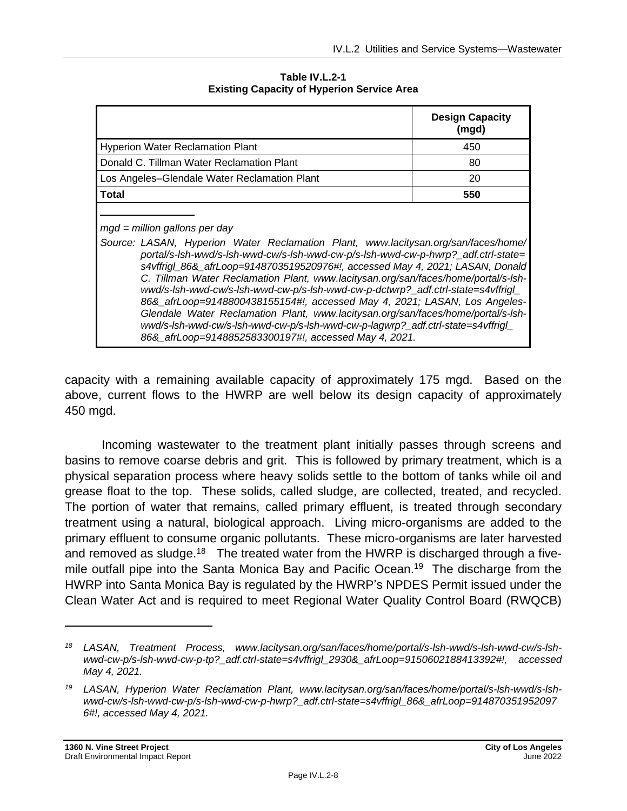|                                                                                                                                                                                                                                                                                                                                                                                                                                                                                                                                                                                                                                                                                                                                                                                     | <b>Design Capacity</b><br>(mgd) |
|-------------------------------------------------------------------------------------------------------------------------------------------------------------------------------------------------------------------------------------------------------------------------------------------------------------------------------------------------------------------------------------------------------------------------------------------------------------------------------------------------------------------------------------------------------------------------------------------------------------------------------------------------------------------------------------------------------------------------------------------------------------------------------------|---------------------------------|
| <b>Hyperion Water Reclamation Plant</b>                                                                                                                                                                                                                                                                                                                                                                                                                                                                                                                                                                                                                                                                                                                                             | 450                             |
| Donald C. Tillman Water Reclamation Plant                                                                                                                                                                                                                                                                                                                                                                                                                                                                                                                                                                                                                                                                                                                                           | 80                              |
| Los Angeles–Glendale Water Reclamation Plant                                                                                                                                                                                                                                                                                                                                                                                                                                                                                                                                                                                                                                                                                                                                        | 20                              |
| <b>Total</b>                                                                                                                                                                                                                                                                                                                                                                                                                                                                                                                                                                                                                                                                                                                                                                        | 550                             |
| $mgd =$ million gallons per day<br>Source: LASAN, Hyperion Water Reclamation Plant, www.lacitysan.org/san/faces/home/<br>portal/s-lsh-wwd/s-lsh-wwd-cw/s-lsh-wwd-cw-p/s-lsh-wwd-cw-p-hwrp?_adf.ctrl-state=<br>s4vffrigl_86&_afrLoop=9148703519520976#!, accessed May 4, 2021; LASAN, Donald<br>C. Tillman Water Reclamation Plant, www.lacitysan.org/san/faces/home/portal/s-Ish-<br>wwd/s-lsh-wwd-cw/s-lsh-wwd-cw-p/s-lsh-wwd-cw-p-dctwrp?_adf.ctrl-state=s4vffrigl_<br>86&_afrLoop=9148800438155154#!, accessed May 4, 2021; LASAN, Los Angeles-<br>Glendale Water Reclamation Plant, www.lacitysan.org/san/faces/home/portal/s-Ish-<br>wwd/s-lsh-wwd-cw/s-lsh-wwd-cw-p/s-lsh-wwd-cw-p-lagwrp?_adf.ctrl-state=s4vffrigl_<br>86& afrLoop=9148852583300197#!, accessed May 4, 2021. |                                 |

**Table IV.L.2-1 Existing Capacity of Hyperion Service Area**

capacity with a remaining available capacity of approximately 175 mgd. Based on the above, current flows to the HWRP are well below its design capacity of approximately 450 mgd.

Incoming wastewater to the treatment plant initially passes through screens and basins to remove coarse debris and grit. This is followed by primary treatment, which is a physical separation process where heavy solids settle to the bottom of tanks while oil and grease float to the top. These solids, called sludge, are collected, treated, and recycled. The portion of water that remains, called primary effluent, is treated through secondary treatment using a natural, biological approach. Living micro-organisms are added to the primary effluent to consume organic pollutants. These micro-organisms are later harvested and removed as sludge.<sup>18</sup> The treated water from the HWRP is discharged through a fivemile outfall pipe into the Santa Monica Bay and Pacific Ocean.<sup>19</sup> The discharge from the HWRP into Santa Monica Bay is regulated by the HWRP's NPDES Permit issued under the Clean Water Act and is required to meet Regional Water Quality Control Board (RWQCB)

*<sup>18</sup> LASAN, Treatment Process, www.lacitysan.org/san/faces/home/portal/s-lsh-wwd/s-lsh-wwd-cw/s-lshwwd-cw-p/s-lsh-wwd-cw-p-tp?\_adf.ctrl-state=s4vffrigl\_2930&\_afrLoop=9150602188413392#!, accessed May 4, 2021.*

*<sup>19</sup> LASAN, Hyperion Water Reclamation Plant, www.lacitysan.org/san/faces/home/portal/s-lsh-wwd/s-lshwwd-cw/s-lsh-wwd-cw-p/s-lsh-wwd-cw-p-hwrp?\_adf.ctrl-state=s4vffrigl\_86&\_afrLoop=914870351952097 6#!, accessed May 4, 2021.*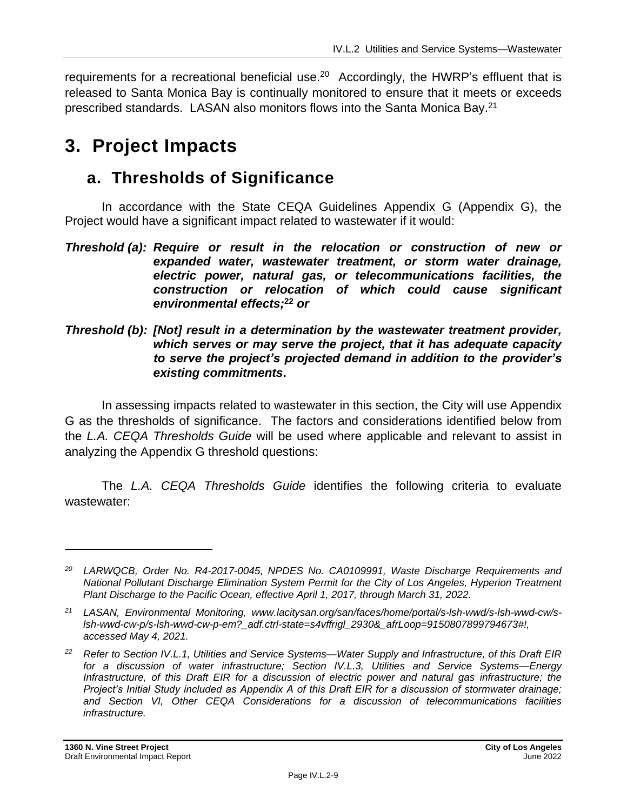requirements for a recreational beneficial use.<sup>20</sup> Accordingly, the HWRP's effluent that is released to Santa Monica Bay is continually monitored to ensure that it meets or exceeds prescribed standards. LASAN also monitors flows into the Santa Monica Bay.<sup>21</sup>

## **3. Project Impacts**

## **a. Thresholds of Significance**

In accordance with the State CEQA Guidelines Appendix G (Appendix G), the Project would have a significant impact related to wastewater if it would:

#### *Threshold (b): [Not] result in a determination by the wastewater treatment provider, which serves or may serve the project, that it has adequate capacity to serve the project's projected demand in addition to the provider's existing commitments***.**

In assessing impacts related to wastewater in this section, the City will use Appendix G as the thresholds of significance. The factors and considerations identified below from the *L.A. CEQA Thresholds Guide* will be used where applicable and relevant to assist in analyzing the Appendix G threshold questions:

The *L.A. CEQA Thresholds Guide* identifies the following criteria to evaluate wastewater:

*Threshold (a): Require or result in the relocation or construction of new or expanded water, wastewater treatment, or storm water drainage, electric power, natural gas, or telecommunications facilities, the construction or relocation of which could cause significant environmental effects;* **<sup>22</sup>** *or*

*<sup>20</sup> LARWQCB, Order No. R4-2017-0045, NPDES No. CA0109991, Waste Discharge Requirements and National Pollutant Discharge Elimination System Permit for the City of Los Angeles, Hyperion Treatment Plant Discharge to the Pacific Ocean, effective April 1, 2017, through March 31, 2022.*

*<sup>21</sup> LASAN, Environmental Monitoring, www.lacitysan.org/san/faces/home/portal/s-lsh-wwd/s-lsh-wwd-cw/slsh-wwd-cw-p/s-lsh-wwd-cw-p-em?\_adf.ctrl-state=s4vffrigl\_2930&\_afrLoop=9150807899794673#!, accessed May 4, 2021.*

*<sup>22</sup> Refer to Section IV.L.1, Utilities and Service Systems—Water Supply and Infrastructure, of this Draft EIR for a discussion of water infrastructure; Section IV.L.3, Utilities and Service Systems—Energy Infrastructure, of this Draft EIR for a discussion of electric power and natural gas infrastructure; the Project's Initial Study included as Appendix A of this Draft EIR for a discussion of stormwater drainage; and Section VI, Other CEQA Considerations for a discussion of telecommunications facilities infrastructure.*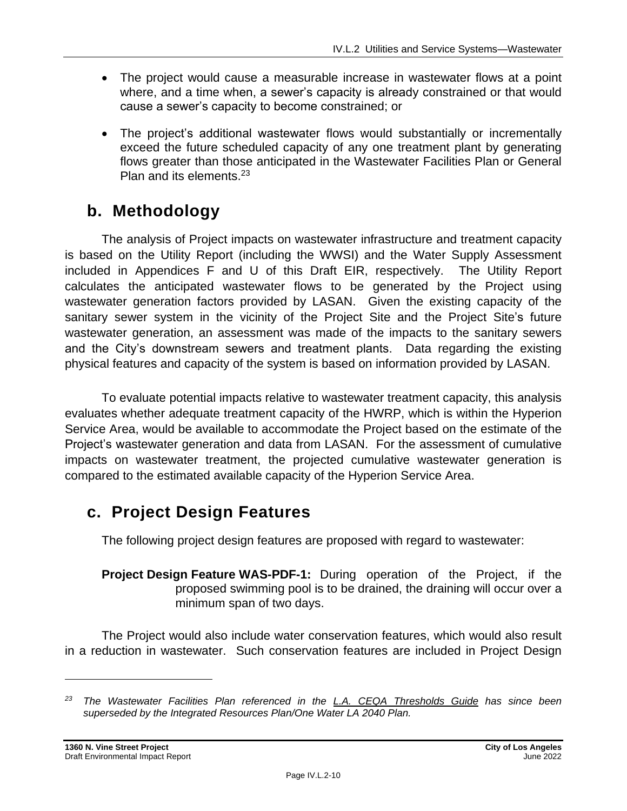- The project would cause a measurable increase in wastewater flows at a point where, and a time when, a sewer's capacity is already constrained or that would cause a sewer's capacity to become constrained; or
- The project's additional wastewater flows would substantially or incrementally exceed the future scheduled capacity of any one treatment plant by generating flows greater than those anticipated in the Wastewater Facilities Plan or General Plan and its elements.<sup>23</sup>

## **b. Methodology**

The analysis of Project impacts on wastewater infrastructure and treatment capacity is based on the Utility Report (including the WWSI) and the Water Supply Assessment included in Appendices F and U of this Draft EIR, respectively. The Utility Report calculates the anticipated wastewater flows to be generated by the Project using wastewater generation factors provided by LASAN. Given the existing capacity of the sanitary sewer system in the vicinity of the Project Site and the Project Site's future wastewater generation, an assessment was made of the impacts to the sanitary sewers and the City's downstream sewers and treatment plants. Data regarding the existing physical features and capacity of the system is based on information provided by LASAN.

To evaluate potential impacts relative to wastewater treatment capacity, this analysis evaluates whether adequate treatment capacity of the HWRP, which is within the Hyperion Service Area, would be available to accommodate the Project based on the estimate of the Project's wastewater generation and data from LASAN. For the assessment of cumulative impacts on wastewater treatment, the projected cumulative wastewater generation is compared to the estimated available capacity of the Hyperion Service Area.

## **c. Project Design Features**

The following project design features are proposed with regard to wastewater:

**Project Design Feature WAS-PDF-1:** During operation of the Project, if the proposed swimming pool is to be drained, the draining will occur over a minimum span of two days.

The Project would also include water conservation features, which would also result in a reduction in wastewater. Such conservation features are included in Project Design

*<sup>23</sup> The Wastewater Facilities Plan referenced in the L.A. CEQA Thresholds Guide has since been superseded by the Integrated Resources Plan/One Water LA 2040 Plan.*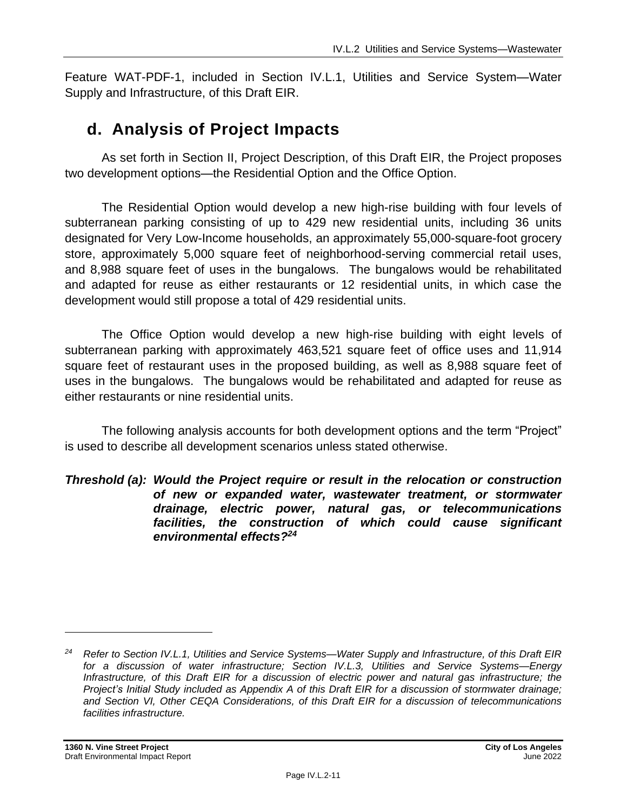Feature WAT-PDF-1, included in Section IV.L.1, Utilities and Service System—Water Supply and Infrastructure, of this Draft EIR.

## **d. Analysis of Project Impacts**

As set forth in Section II, Project Description, of this Draft EIR, the Project proposes two development options—the Residential Option and the Office Option.

The Residential Option would develop a new high-rise building with four levels of subterranean parking consisting of up to 429 new residential units, including 36 units designated for Very Low-Income households, an approximately 55,000-square-foot grocery store, approximately 5,000 square feet of neighborhood-serving commercial retail uses, and 8,988 square feet of uses in the bungalows. The bungalows would be rehabilitated and adapted for reuse as either restaurants or 12 residential units, in which case the development would still propose a total of 429 residential units.

The Office Option would develop a new high-rise building with eight levels of subterranean parking with approximately 463,521 square feet of office uses and 11,914 square feet of restaurant uses in the proposed building, as well as 8,988 square feet of uses in the bungalows. The bungalows would be rehabilitated and adapted for reuse as either restaurants or nine residential units.

The following analysis accounts for both development options and the term "Project" is used to describe all development scenarios unless stated otherwise.

#### *Threshold (a): Would the Project require or result in the relocation or construction of new or expanded water, wastewater treatment, or stormwater drainage, electric power, natural gas, or telecommunications facilities, the construction of which could cause significant environmental effects?<sup>24</sup>*

*<sup>24</sup> Refer to Section IV.L.1, Utilities and Service Systems—Water Supply and Infrastructure, of this Draft EIR for a discussion of water infrastructure; Section IV.L.3, Utilities and Service Systems—Energy Infrastructure, of this Draft EIR for a discussion of electric power and natural gas infrastructure; the Project's Initial Study included as Appendix A of this Draft EIR for a discussion of stormwater drainage; and Section VI, Other CEQA Considerations, of this Draft EIR for a discussion of telecommunications facilities infrastructure.*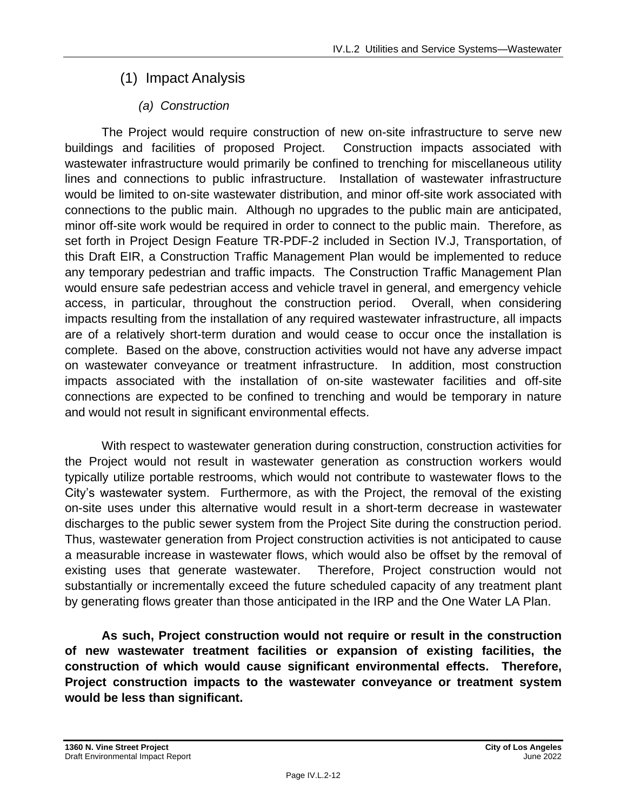## (1) Impact Analysis

## *(a) Construction*

The Project would require construction of new on-site infrastructure to serve new buildings and facilities of proposed Project. Construction impacts associated with wastewater infrastructure would primarily be confined to trenching for miscellaneous utility lines and connections to public infrastructure. Installation of wastewater infrastructure would be limited to on-site wastewater distribution, and minor off-site work associated with connections to the public main. Although no upgrades to the public main are anticipated, minor off-site work would be required in order to connect to the public main. Therefore, as set forth in Project Design Feature TR-PDF-2 included in Section IV.J, Transportation, of this Draft EIR, a Construction Traffic Management Plan would be implemented to reduce any temporary pedestrian and traffic impacts. The Construction Traffic Management Plan would ensure safe pedestrian access and vehicle travel in general, and emergency vehicle access, in particular, throughout the construction period. Overall, when considering impacts resulting from the installation of any required wastewater infrastructure, all impacts are of a relatively short-term duration and would cease to occur once the installation is complete. Based on the above, construction activities would not have any adverse impact on wastewater conveyance or treatment infrastructure. In addition, most construction impacts associated with the installation of on-site wastewater facilities and off-site connections are expected to be confined to trenching and would be temporary in nature and would not result in significant environmental effects.

With respect to wastewater generation during construction, construction activities for the Project would not result in wastewater generation as construction workers would typically utilize portable restrooms, which would not contribute to wastewater flows to the City's wastewater system. Furthermore, as with the Project, the removal of the existing on-site uses under this alternative would result in a short-term decrease in wastewater discharges to the public sewer system from the Project Site during the construction period. Thus, wastewater generation from Project construction activities is not anticipated to cause a measurable increase in wastewater flows, which would also be offset by the removal of existing uses that generate wastewater. Therefore, Project construction would not substantially or incrementally exceed the future scheduled capacity of any treatment plant by generating flows greater than those anticipated in the IRP and the One Water LA Plan.

**As such, Project construction would not require or result in the construction of new wastewater treatment facilities or expansion of existing facilities, the construction of which would cause significant environmental effects. Therefore, Project construction impacts to the wastewater conveyance or treatment system would be less than significant.**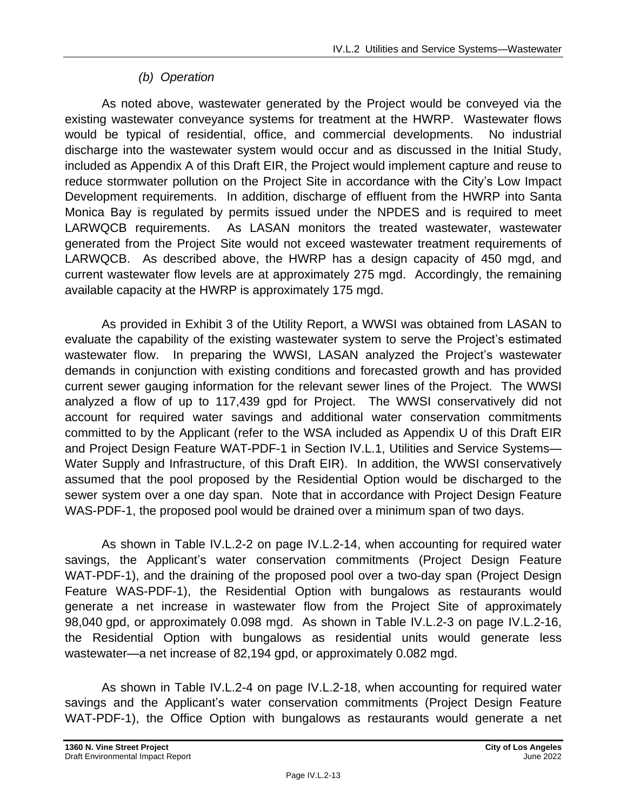### *(b) Operation*

As noted above, wastewater generated by the Project would be conveyed via the existing wastewater conveyance systems for treatment at the HWRP. Wastewater flows would be typical of residential, office, and commercial developments. No industrial discharge into the wastewater system would occur and as discussed in the Initial Study, included as Appendix A of this Draft EIR, the Project would implement capture and reuse to reduce stormwater pollution on the Project Site in accordance with the City's Low Impact Development requirements. In addition, discharge of effluent from the HWRP into Santa Monica Bay is regulated by permits issued under the NPDES and is required to meet LARWQCB requirements. As LASAN monitors the treated wastewater, wastewater generated from the Project Site would not exceed wastewater treatment requirements of LARWQCB. As described above, the HWRP has a design capacity of 450 mgd, and current wastewater flow levels are at approximately 275 mgd. Accordingly, the remaining available capacity at the HWRP is approximately 175 mgd.

As provided in Exhibit 3 of the Utility Report, a WWSI was obtained from LASAN to evaluate the capability of the existing wastewater system to serve the Project's estimated wastewater flow. In preparing the WWSI, LASAN analyzed the Project's wastewater demands in conjunction with existing conditions and forecasted growth and has provided current sewer gauging information for the relevant sewer lines of the Project. The WWSI analyzed a flow of up to 117,439 gpd for Project. The WWSI conservatively did not account for required water savings and additional water conservation commitments committed to by the Applicant (refer to the WSA included as Appendix U of this Draft EIR and Project Design Feature WAT-PDF-1 in Section IV.L.1, Utilities and Service Systems— Water Supply and Infrastructure, of this Draft EIR). In addition, the WWSI conservatively assumed that the pool proposed by the Residential Option would be discharged to the sewer system over a one day span. Note that in accordance with Project Design Feature WAS-PDF-1, the proposed pool would be drained over a minimum span of two days.

As shown in Table IV.L.2-2 on page IV.L.2-14, when accounting for required water savings, the Applicant's water conservation commitments (Project Design Feature WAT-PDF-1), and the draining of the proposed pool over a two-day span (Project Design Feature WAS-PDF-1), the Residential Option with bungalows as restaurants would generate a net increase in wastewater flow from the Project Site of approximately 98,040 gpd, or approximately 0.098 mgd. As shown in Table IV.L.2-3 on page IV.L.2-16, the Residential Option with bungalows as residential units would generate less wastewater—a net increase of 82,194 gpd, or approximately 0.082 mgd.

As shown in Table IV.L.2-4 on page IV.L.2-18, when accounting for required water savings and the Applicant's water conservation commitments (Project Design Feature WAT-PDF-1), the Office Option with bungalows as restaurants would generate a net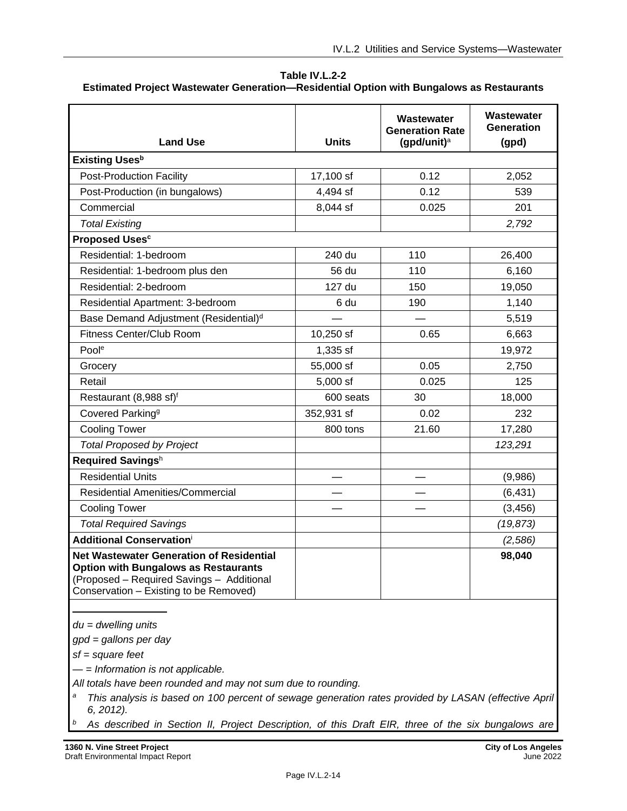**Table IV.L.2-2 Estimated Project Wastewater Generation—Residential Option with Bungalows as Restaurants**

| <b>Land Use</b>                                                                                                                                                                       | <b>Units</b> | Wastewater<br><b>Generation Rate</b><br>(gpd/unit) $a$ | Wastewater<br>Generation<br>(gpd) |
|---------------------------------------------------------------------------------------------------------------------------------------------------------------------------------------|--------------|--------------------------------------------------------|-----------------------------------|
| <b>Existing Uses</b> <sup>b</sup>                                                                                                                                                     |              |                                                        |                                   |
| <b>Post-Production Facility</b>                                                                                                                                                       | 17,100 sf    | 0.12                                                   | 2,052                             |
| Post-Production (in bungalows)                                                                                                                                                        | 4,494 sf     | 0.12                                                   | 539                               |
| Commercial                                                                                                                                                                            | 8,044 sf     | 0.025                                                  | 201                               |
| <b>Total Existing</b>                                                                                                                                                                 |              |                                                        | 2,792                             |
| <b>Proposed Uses<sup>c</sup></b>                                                                                                                                                      |              |                                                        |                                   |
| Residential: 1-bedroom                                                                                                                                                                | 240 du       | 110                                                    | 26,400                            |
| Residential: 1-bedroom plus den                                                                                                                                                       | 56 du        | 110                                                    | 6,160                             |
| Residential: 2-bedroom                                                                                                                                                                | 127 du       | 150                                                    | 19,050                            |
| Residential Apartment: 3-bedroom                                                                                                                                                      | 6 du         | 190                                                    | 1,140                             |
| Base Demand Adjustment (Residential) <sup>d</sup>                                                                                                                                     |              |                                                        | 5,519                             |
| <b>Fitness Center/Club Room</b>                                                                                                                                                       | 10,250 sf    | 0.65                                                   | 6,663                             |
| Poole                                                                                                                                                                                 | 1,335 sf     |                                                        | 19,972                            |
| Grocery                                                                                                                                                                               | 55,000 sf    | 0.05                                                   | 2,750                             |
| Retail                                                                                                                                                                                | $5,000$ sf   | 0.025                                                  | 125                               |
| Restaurant (8,988 sf) <sup>f</sup>                                                                                                                                                    | 600 seats    | 30                                                     | 18,000                            |
| Covered Parking <sup>9</sup>                                                                                                                                                          | 352,931 sf   | 0.02                                                   | 232                               |
| <b>Cooling Tower</b>                                                                                                                                                                  | 800 tons     | 21.60                                                  | 17,280                            |
| <b>Total Proposed by Project</b>                                                                                                                                                      |              |                                                        | 123,291                           |
| Required Savingsh                                                                                                                                                                     |              |                                                        |                                   |
| <b>Residential Units</b>                                                                                                                                                              |              |                                                        | (9,986)                           |
| <b>Residential Amenities/Commercial</b>                                                                                                                                               |              |                                                        | (6, 431)                          |
| <b>Cooling Tower</b>                                                                                                                                                                  |              |                                                        | (3, 456)                          |
| <b>Total Required Savings</b>                                                                                                                                                         |              |                                                        | (19, 873)                         |
| <b>Additional Conservationi</b>                                                                                                                                                       |              |                                                        | (2,586)                           |
| <b>Net Wastewater Generation of Residential</b><br><b>Option with Bungalows as Restaurants</b><br>(Proposed - Required Savings - Additional<br>Conservation - Existing to be Removed) |              |                                                        | 98,040                            |

*du = dwelling units*

*gpd = gallons per day*

*sf = square feet*

*— = Information is not applicable.*

*All totals have been rounded and may not sum due to rounding.*

- *<sup>a</sup> This analysis is based on 100 percent of sewage generation rates provided by LASAN (effective April 6, 2012).*
- *<sup>b</sup> As described in Section II, Project Description, of this Draft EIR, three of the six bungalows are*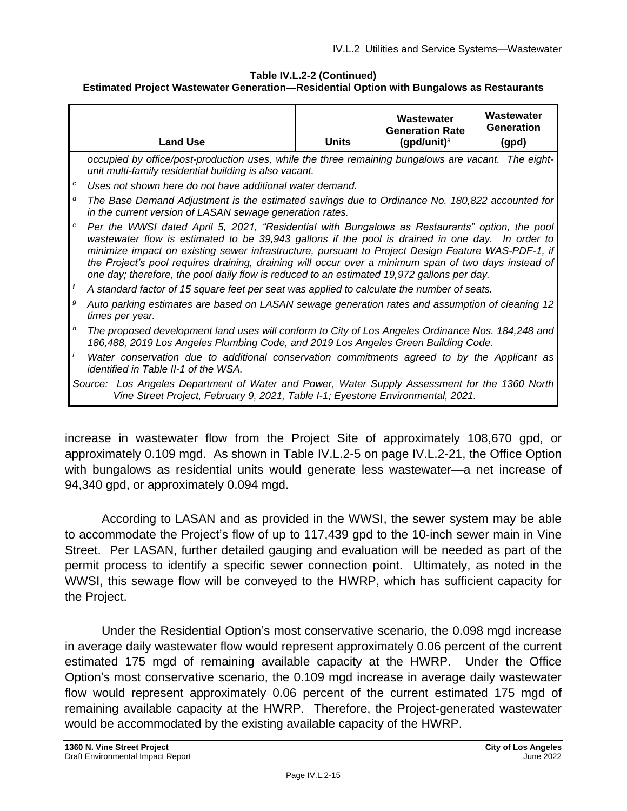#### **Table IV.L.2-2 (Continued) Estimated Project Wastewater Generation—Residential Option with Bungalows as Restaurants**

|                                                                                                                                                                                                                                                                                                                                                                                                                                                                                                                                    | <b>Land Use</b>                                                                                                                                                                         | <b>Units</b> | Wastewater<br><b>Generation Rate</b><br>(gpd/unit) $a$ | Wastewater<br>Generation<br>(gpd) |
|------------------------------------------------------------------------------------------------------------------------------------------------------------------------------------------------------------------------------------------------------------------------------------------------------------------------------------------------------------------------------------------------------------------------------------------------------------------------------------------------------------------------------------|-----------------------------------------------------------------------------------------------------------------------------------------------------------------------------------------|--------------|--------------------------------------------------------|-----------------------------------|
|                                                                                                                                                                                                                                                                                                                                                                                                                                                                                                                                    | occupied by office/post-production uses, while the three remaining bungalows are vacant. The eight-<br>unit multi-family residential building is also vacant.                           |              |                                                        |                                   |
| с                                                                                                                                                                                                                                                                                                                                                                                                                                                                                                                                  | Uses not shown here do not have additional water demand.                                                                                                                                |              |                                                        |                                   |
| d                                                                                                                                                                                                                                                                                                                                                                                                                                                                                                                                  | The Base Demand Adjustment is the estimated savings due to Ordinance No. 180,822 accounted for<br>in the current version of LASAN sewage generation rates.                              |              |                                                        |                                   |
| $\boldsymbol{e}$<br>Per the WWSI dated April 5, 2021, "Residential with Bungalows as Restaurants" option, the pool<br>wastewater flow is estimated to be 39,943 gallons if the pool is drained in one day. In order to<br>minimize impact on existing sewer infrastructure, pursuant to Project Design Feature WAS-PDF-1, if<br>the Project's pool requires draining, draining will occur over a minimum span of two days instead of<br>one day; therefore, the pool daily flow is reduced to an estimated 19,972 gallons per day. |                                                                                                                                                                                         |              |                                                        |                                   |
|                                                                                                                                                                                                                                                                                                                                                                                                                                                                                                                                    | A standard factor of 15 square feet per seat was applied to calculate the number of seats.                                                                                              |              |                                                        |                                   |
| g                                                                                                                                                                                                                                                                                                                                                                                                                                                                                                                                  | Auto parking estimates are based on LASAN sewage generation rates and assumption of cleaning 12<br>times per year.                                                                      |              |                                                        |                                   |
| h                                                                                                                                                                                                                                                                                                                                                                                                                                                                                                                                  | The proposed development land uses will conform to City of Los Angeles Ordinance Nos. 184,248 and<br>186,488, 2019 Los Angeles Plumbing Code, and 2019 Los Angeles Green Building Code. |              |                                                        |                                   |
|                                                                                                                                                                                                                                                                                                                                                                                                                                                                                                                                    | Water conservation due to additional conservation commitments agreed to by the Applicant as<br><i>identified in Table II-1 of the WSA.</i>                                              |              |                                                        |                                   |
|                                                                                                                                                                                                                                                                                                                                                                                                                                                                                                                                    | Source: Los Angeles Department of Water and Power, Water Supply Assessment for the 1360 North<br>Vine Street Project, February 9, 2021, Table I-1; Eyestone Environmental, 2021.        |              |                                                        |                                   |

increase in wastewater flow from the Project Site of approximately 108,670 gpd, or approximately 0.109 mgd. As shown in Table IV.L.2-5 on page IV.L.2-21, the Office Option with bungalows as residential units would generate less wastewater—a net increase of 94,340 gpd, or approximately 0.094 mgd.

According to LASAN and as provided in the WWSI, the sewer system may be able to accommodate the Project's flow of up to 117,439 gpd to the 10-inch sewer main in Vine Street. Per LASAN, further detailed gauging and evaluation will be needed as part of the permit process to identify a specific sewer connection point. Ultimately, as noted in the WWSI, this sewage flow will be conveyed to the HWRP, which has sufficient capacity for the Project.

Under the Residential Option's most conservative scenario, the 0.098 mgd increase in average daily wastewater flow would represent approximately 0.06 percent of the current estimated 175 mgd of remaining available capacity at the HWRP. Under the Office Option's most conservative scenario, the 0.109 mgd increase in average daily wastewater flow would represent approximately 0.06 percent of the current estimated 175 mgd of remaining available capacity at the HWRP. Therefore, the Project-generated wastewater would be accommodated by the existing available capacity of the HWRP.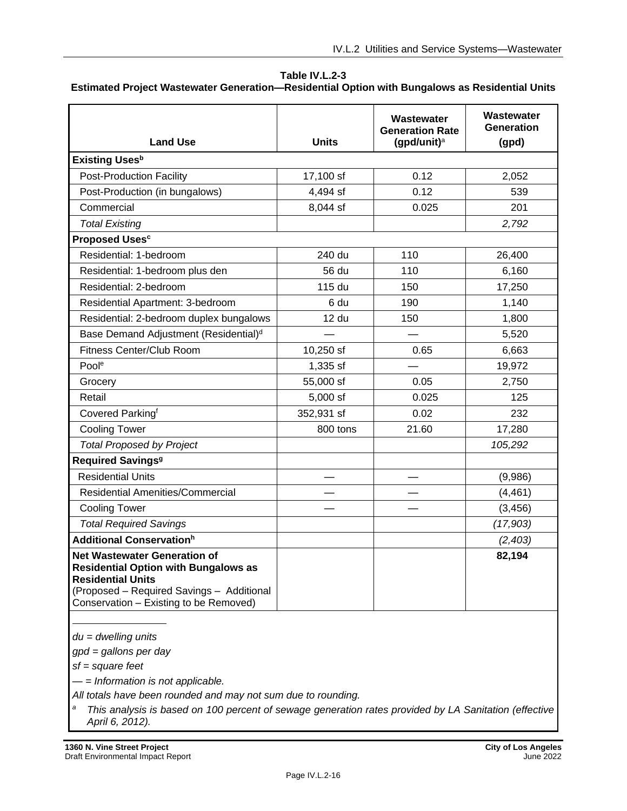#### **Table IV.L.2-3 Estimated Project Wastewater Generation—Residential Option with Bungalows as Residential Units**

| <b>Land Use</b>                                                                                                                                                                                       | <b>Units</b> | Wastewater<br><b>Generation Rate</b><br>(gpd/unit) $a$ | Wastewater<br>Generation<br>(gpd) |
|-------------------------------------------------------------------------------------------------------------------------------------------------------------------------------------------------------|--------------|--------------------------------------------------------|-----------------------------------|
| <b>Existing Uses</b> <sup>b</sup>                                                                                                                                                                     |              |                                                        |                                   |
| <b>Post-Production Facility</b>                                                                                                                                                                       | 17,100 sf    | 0.12                                                   | 2,052                             |
| Post-Production (in bungalows)                                                                                                                                                                        | 4,494 sf     | 0.12                                                   | 539                               |
| Commercial                                                                                                                                                                                            | 8,044 sf     | 0.025                                                  | 201                               |
| <b>Total Existing</b>                                                                                                                                                                                 |              |                                                        | 2,792                             |
| <b>Proposed Uses<sup>c</sup></b>                                                                                                                                                                      |              |                                                        |                                   |
| Residential: 1-bedroom                                                                                                                                                                                | 240 du       | 110                                                    | 26,400                            |
| Residential: 1-bedroom plus den                                                                                                                                                                       | 56 du        | 110                                                    | 6,160                             |
| Residential: 2-bedroom                                                                                                                                                                                | 115 du       | 150                                                    | 17,250                            |
| Residential Apartment: 3-bedroom                                                                                                                                                                      | 6 du         | 190                                                    | 1,140                             |
| Residential: 2-bedroom duplex bungalows                                                                                                                                                               | 12 du        | 150                                                    | 1,800                             |
| Base Demand Adjustment (Residential) <sup>d</sup>                                                                                                                                                     |              |                                                        | 5,520                             |
| Fitness Center/Club Room                                                                                                                                                                              | 10,250 sf    | 0.65                                                   | 6,663                             |
| Poole                                                                                                                                                                                                 | 1,335 sf     |                                                        | 19,972                            |
| Grocery                                                                                                                                                                                               | 55,000 sf    | 0.05                                                   | 2,750                             |
| Retail                                                                                                                                                                                                | 5,000 sf     | 0.025                                                  | 125                               |
| Covered Parkingf                                                                                                                                                                                      | 352,931 sf   | 0.02                                                   | 232                               |
| <b>Cooling Tower</b>                                                                                                                                                                                  | 800 tons     | 21.60                                                  | 17,280                            |
| <b>Total Proposed by Project</b>                                                                                                                                                                      |              |                                                        | 105,292                           |
| <b>Required Savings<sup>9</sup></b>                                                                                                                                                                   |              |                                                        |                                   |
| <b>Residential Units</b>                                                                                                                                                                              |              |                                                        | (9,986)                           |
| <b>Residential Amenities/Commercial</b>                                                                                                                                                               |              |                                                        | (4, 461)                          |
| <b>Cooling Tower</b>                                                                                                                                                                                  |              |                                                        | (3, 456)                          |
| <b>Total Required Savings</b>                                                                                                                                                                         |              |                                                        | (17,903)                          |
| <b>Additional Conservationh</b>                                                                                                                                                                       |              |                                                        | (2,403)                           |
| <b>Net Wastewater Generation of</b><br><b>Residential Option with Bungalows as</b><br><b>Residential Units</b><br>(Proposed - Required Savings - Additional<br>Conservation - Existing to be Removed) |              |                                                        | 82,194                            |

*du = dwelling units*

*gpd = gallons per day*

*sf = square feet*

*— = Information is not applicable.*

*All totals have been rounded and may not sum due to rounding.*

*<sup>a</sup> This analysis is based on 100 percent of sewage generation rates provided by LA Sanitation (effective April 6, 2012).*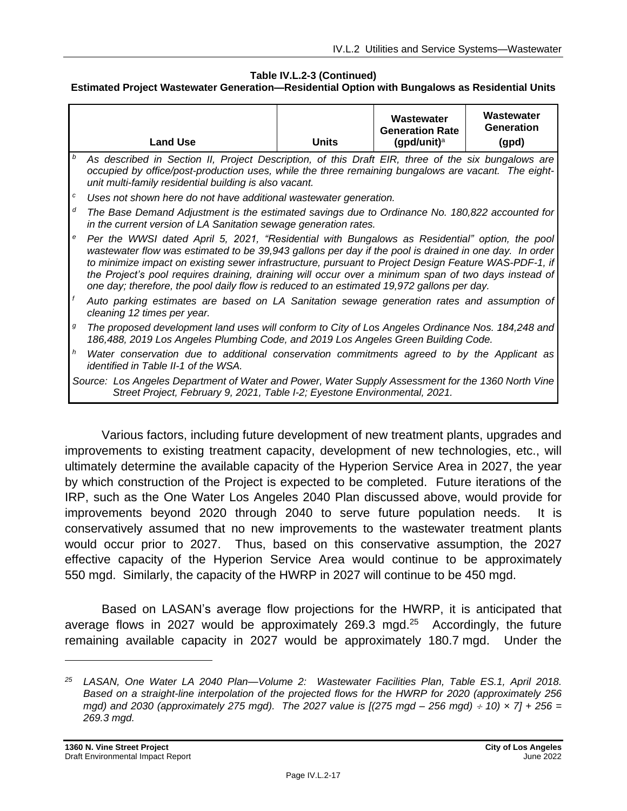#### **Table IV.L.2-3 (Continued)**

#### **Estimated Project Wastewater Generation—Residential Option with Bungalows as Residential Units**

|   | <b>Land Use</b>                                                                                                                                                                                                                                                                                                                                                                                                                                                                                                         | <b>Units</b> | Wastewater<br><b>Generation Rate</b><br>(gpd/unit) $a$ | Wastewater<br><b>Generation</b><br>(gpd) |
|---|-------------------------------------------------------------------------------------------------------------------------------------------------------------------------------------------------------------------------------------------------------------------------------------------------------------------------------------------------------------------------------------------------------------------------------------------------------------------------------------------------------------------------|--------------|--------------------------------------------------------|------------------------------------------|
| b | As described in Section II, Project Description, of this Draft EIR, three of the six bungalows are<br>occupied by office/post-production uses, while the three remaining bungalows are vacant. The eight-<br>unit multi-family residential building is also vacant.                                                                                                                                                                                                                                                     |              |                                                        |                                          |
| с | Uses not shown here do not have additional wastewater generation.                                                                                                                                                                                                                                                                                                                                                                                                                                                       |              |                                                        |                                          |
| d | The Base Demand Adjustment is the estimated savings due to Ordinance No. 180,822 accounted for<br>in the current version of LA Sanitation sewage generation rates.                                                                                                                                                                                                                                                                                                                                                      |              |                                                        |                                          |
| e | Per the WWSI dated April 5, 2021, "Residential with Bungalows as Residential" option, the pool<br>wastewater flow was estimated to be 39,943 gallons per day if the pool is drained in one day. In order<br>to minimize impact on existing sewer infrastructure, pursuant to Project Design Feature WAS-PDF-1, if<br>the Project's pool requires draining, draining will occur over a minimum span of two days instead of<br>one day; therefore, the pool daily flow is reduced to an estimated 19,972 gallons per day. |              |                                                        |                                          |
|   | Auto parking estimates are based on LA Sanitation sewage generation rates and assumption of<br>cleaning 12 times per year.                                                                                                                                                                                                                                                                                                                                                                                              |              |                                                        |                                          |
| g | The proposed development land uses will conform to City of Los Angeles Ordinance Nos. 184,248 and<br>186,488, 2019 Los Angeles Plumbing Code, and 2019 Los Angeles Green Building Code.                                                                                                                                                                                                                                                                                                                                 |              |                                                        |                                          |
| h | Water conservation due to additional conservation commitments agreed to by the Applicant as<br>identified in Table II-1 of the WSA.                                                                                                                                                                                                                                                                                                                                                                                     |              |                                                        |                                          |
|   | Source: Los Angeles Department of Water and Power, Water Supply Assessment for the 1360 North Vine<br>Street Project, February 9, 2021, Table I-2; Eyestone Environmental, 2021.                                                                                                                                                                                                                                                                                                                                        |              |                                                        |                                          |

Various factors, including future development of new treatment plants, upgrades and improvements to existing treatment capacity, development of new technologies, etc., will ultimately determine the available capacity of the Hyperion Service Area in 2027, the year by which construction of the Project is expected to be completed. Future iterations of the IRP, such as the One Water Los Angeles 2040 Plan discussed above, would provide for improvements beyond 2020 through 2040 to serve future population needs. It is conservatively assumed that no new improvements to the wastewater treatment plants would occur prior to 2027. Thus, based on this conservative assumption, the 2027 effective capacity of the Hyperion Service Area would continue to be approximately 550 mgd. Similarly, the capacity of the HWRP in 2027 will continue to be 450 mgd.

Based on LASAN's average flow projections for the HWRP, it is anticipated that average flows in 2027 would be approximately 269.3 mgd. $25$  Accordingly, the future remaining available capacity in 2027 would be approximately 180.7 mgd. Under the

*<sup>25</sup> LASAN, One Water LA 2040 Plan—Volume 2: Wastewater Facilities Plan, Table ES.1, April 2018. Based on a straight-line interpolation of the projected flows for the HWRP for 2020 (approximately 256 mgd) and 2030 (approximately 275 mgd). The 2027 value is [(275 mgd – 256 mgd) 10) × 7] + 256 = 269.3 mgd.*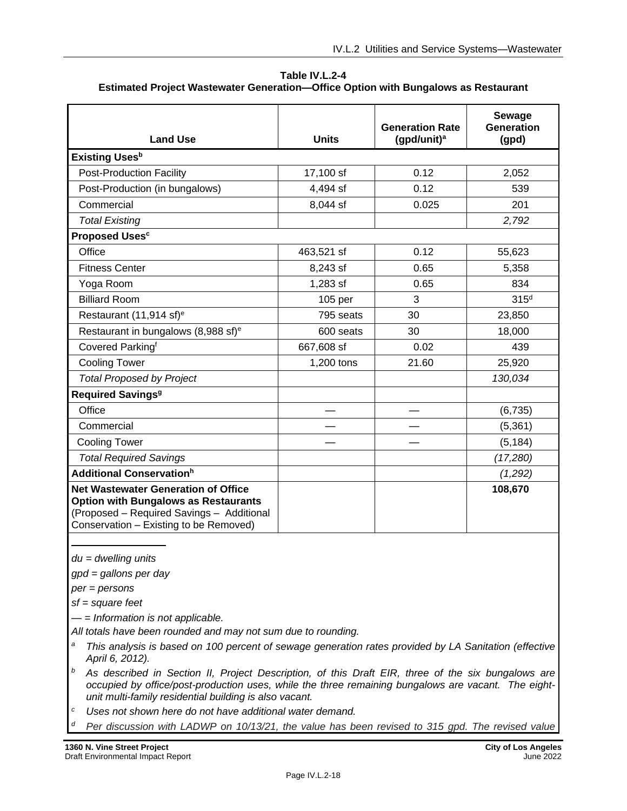**Table IV.L.2-4 Estimated Project Wastewater Generation—Office Option with Bungalows as Restaurant**

| <b>Land Use</b>                                                                                                                                                                  | <b>Units</b> | <b>Generation Rate</b><br>(gpd/unit) <sup>a</sup> | Sewage<br><b>Generation</b><br>(gpd) |
|----------------------------------------------------------------------------------------------------------------------------------------------------------------------------------|--------------|---------------------------------------------------|--------------------------------------|
| <b>Existing Uses</b> <sup>b</sup>                                                                                                                                                |              |                                                   |                                      |
| <b>Post-Production Facility</b>                                                                                                                                                  | 17,100 sf    | 0.12                                              | 2,052                                |
| Post-Production (in bungalows)                                                                                                                                                   | 4,494 sf     | 0.12                                              | 539                                  |
| Commercial                                                                                                                                                                       | 8,044 sf     | 0.025                                             | 201                                  |
| <b>Total Existing</b>                                                                                                                                                            |              |                                                   | 2,792                                |
| <b>Proposed Uses<sup>c</sup></b>                                                                                                                                                 |              |                                                   |                                      |
| Office                                                                                                                                                                           | 463,521 sf   | 0.12                                              | 55,623                               |
| <b>Fitness Center</b>                                                                                                                                                            | 8,243 sf     | 0.65                                              | 5,358                                |
| Yoga Room                                                                                                                                                                        | 1,283 sf     | 0.65                                              | 834                                  |
| <b>Billiard Room</b>                                                                                                                                                             | 105 per      | 3                                                 | 315 <sup>d</sup>                     |
| Restaurant (11,914 sf) <sup>e</sup>                                                                                                                                              | 795 seats    | 30                                                | 23,850                               |
| Restaurant in bungalows (8,988 sf) <sup>e</sup>                                                                                                                                  | 600 seats    | 30                                                | 18,000                               |
| Covered Parkingf                                                                                                                                                                 | 667,608 sf   | 0.02                                              | 439                                  |
| <b>Cooling Tower</b>                                                                                                                                                             | 1,200 tons   | 21.60                                             | 25,920                               |
| <b>Total Proposed by Project</b>                                                                                                                                                 |              |                                                   | 130,034                              |
| <b>Required Savings<sup>9</sup></b>                                                                                                                                              |              |                                                   |                                      |
| Office                                                                                                                                                                           |              |                                                   | (6, 735)                             |
| Commercial                                                                                                                                                                       |              |                                                   | (5, 361)                             |
| <b>Cooling Tower</b>                                                                                                                                                             |              |                                                   | (5, 184)                             |
| <b>Total Required Savings</b>                                                                                                                                                    |              |                                                   | (17, 280)                            |
| <b>Additional Conservation</b> <sup>h</sup>                                                                                                                                      |              |                                                   | (1,292)                              |
| <b>Net Wastewater Generation of Office</b><br><b>Option with Bungalows as Restaurants</b><br>(Proposed - Required Savings - Additional<br>Conservation - Existing to be Removed) |              |                                                   | 108,670                              |

*du = dwelling units*

*gpd = gallons per day*

*per = persons*

*sf = square feet*

*— = Information is not applicable.*

*All totals have been rounded and may not sum due to rounding.*

- *<sup>a</sup> This analysis is based on 100 percent of sewage generation rates provided by LA Sanitation (effective April 6, 2012).*
- *<sup>b</sup> As described in Section II, Project Description, of this Draft EIR, three of the six bungalows are occupied by office/post-production uses, while the three remaining bungalows are vacant. The eightunit multi-family residential building is also vacant.*
- *<sup>c</sup> Uses not shown here do not have additional water demand.*
- *<sup>d</sup> Per discussion with LADWP on 10/13/21, the value has been revised to 315 gpd. The revised value*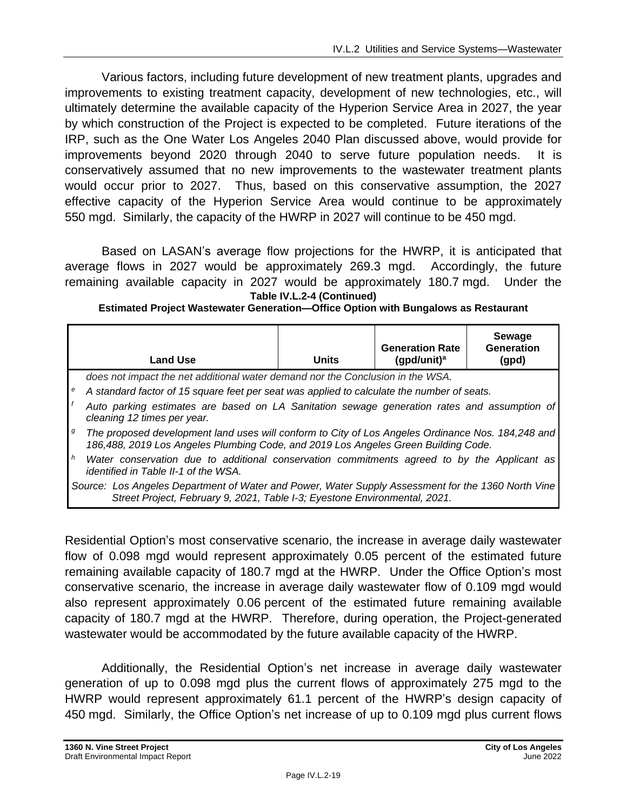Various factors, including future development of new treatment plants, upgrades and improvements to existing treatment capacity, development of new technologies, etc., will ultimately determine the available capacity of the Hyperion Service Area in 2027, the year by which construction of the Project is expected to be completed. Future iterations of the IRP, such as the One Water Los Angeles 2040 Plan discussed above, would provide for improvements beyond 2020 through 2040 to serve future population needs. It is conservatively assumed that no new improvements to the wastewater treatment plants would occur prior to 2027. Thus, based on this conservative assumption, the 2027 effective capacity of the Hyperion Service Area would continue to be approximately 550 mgd. Similarly, the capacity of the HWRP in 2027 will continue to be 450 mgd.

Based on LASAN's average flow projections for the HWRP, it is anticipated that average flows in 2027 would be approximately 269.3 mgd. Accordingly, the future remaining available capacity in 2027 would be approximately 180.7 mgd. Under the **Table IV.L.2-4 (Continued)**

**Estimated Project Wastewater Generation—Office Option with Bungalows as Restaurant**

|   | <b>Land Use</b>                                                                                                                                                                         | <b>Units</b> | <b>Generation Rate</b><br>(gpd/unit) <sup>a</sup> | Sewage<br>Generation<br>(gpd) |
|---|-----------------------------------------------------------------------------------------------------------------------------------------------------------------------------------------|--------------|---------------------------------------------------|-------------------------------|
|   | does not impact the net additional water demand nor the Conclusion in the WSA.                                                                                                          |              |                                                   |                               |
|   | A standard factor of 15 square feet per seat was applied to calculate the number of seats.                                                                                              |              |                                                   |                               |
|   | Auto parking estimates are based on LA Sanitation sewage generation rates and assumption of<br>cleaning 12 times per year.                                                              |              |                                                   |                               |
| g | The proposed development land uses will conform to City of Los Angeles Ordinance Nos. 184,248 and<br>186,488, 2019 Los Angeles Plumbing Code, and 2019 Los Angeles Green Building Code. |              |                                                   |                               |
| h | Water conservation due to additional conservation commitments agreed to by the Applicant as<br>identified in Table II-1 of the WSA.                                                     |              |                                                   |                               |
|   | Source: Los Angeles Department of Water and Power, Water Supply Assessment for the 1360 North Vine<br>Street Project, February 9, 2021, Table I-3; Eyestone Environmental, 2021.        |              |                                                   |                               |

Residential Option's most conservative scenario, the increase in average daily wastewater flow of 0.098 mgd would represent approximately 0.05 percent of the estimated future remaining available capacity of 180.7 mgd at the HWRP. Under the Office Option's most conservative scenario, the increase in average daily wastewater flow of 0.109 mgd would also represent approximately 0.06 percent of the estimated future remaining available capacity of 180.7 mgd at the HWRP. Therefore, during operation, the Project-generated wastewater would be accommodated by the future available capacity of the HWRP.

Additionally, the Residential Option's net increase in average daily wastewater generation of up to 0.098 mgd plus the current flows of approximately 275 mgd to the HWRP would represent approximately 61.1 percent of the HWRP's design capacity of 450 mgd. Similarly, the Office Option's net increase of up to 0.109 mgd plus current flows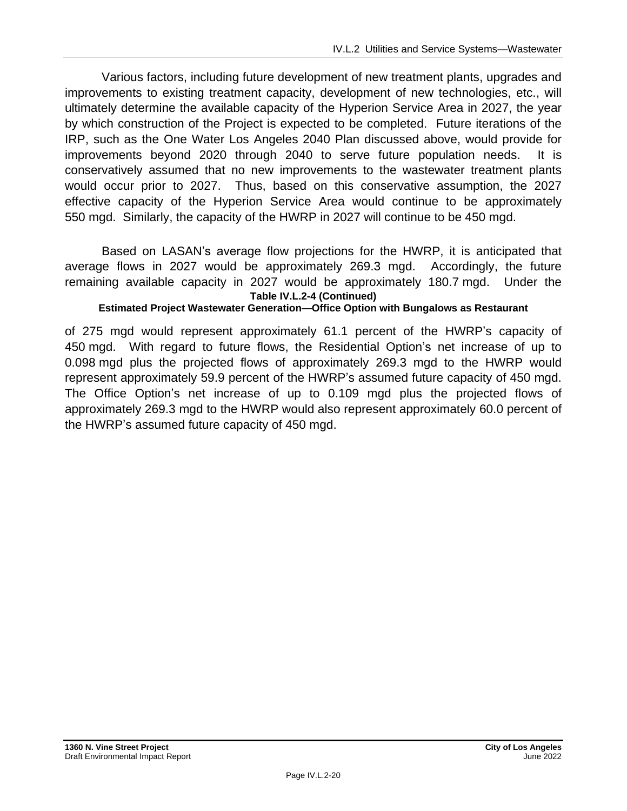Various factors, including future development of new treatment plants, upgrades and improvements to existing treatment capacity, development of new technologies, etc., will ultimately determine the available capacity of the Hyperion Service Area in 2027, the year by which construction of the Project is expected to be completed. Future iterations of the IRP, such as the One Water Los Angeles 2040 Plan discussed above, would provide for improvements beyond 2020 through 2040 to serve future population needs. It is conservatively assumed that no new improvements to the wastewater treatment plants would occur prior to 2027. Thus, based on this conservative assumption, the 2027 effective capacity of the Hyperion Service Area would continue to be approximately 550 mgd. Similarly, the capacity of the HWRP in 2027 will continue to be 450 mgd.

Based on LASAN's average flow projections for the HWRP, it is anticipated that average flows in 2027 would be approximately 269.3 mgd. Accordingly, the future remaining available capacity in 2027 would be approximately 180.7 mgd. Under the **Table IV.L.2-4 (Continued)**

#### **Estimated Project Wastewater Generation—Office Option with Bungalows as Restaurant**

of 275 mgd would represent approximately 61.1 percent of the HWRP's capacity of 450 mgd. With regard to future flows, the Residential Option's net increase of up to 0.098 mgd plus the projected flows of approximately 269.3 mgd to the HWRP would represent approximately 59.9 percent of the HWRP's assumed future capacity of 450 mgd. The Office Option's net increase of up to 0.109 mgd plus the projected flows of approximately 269.3 mgd to the HWRP would also represent approximately 60.0 percent of the HWRP's assumed future capacity of 450 mgd.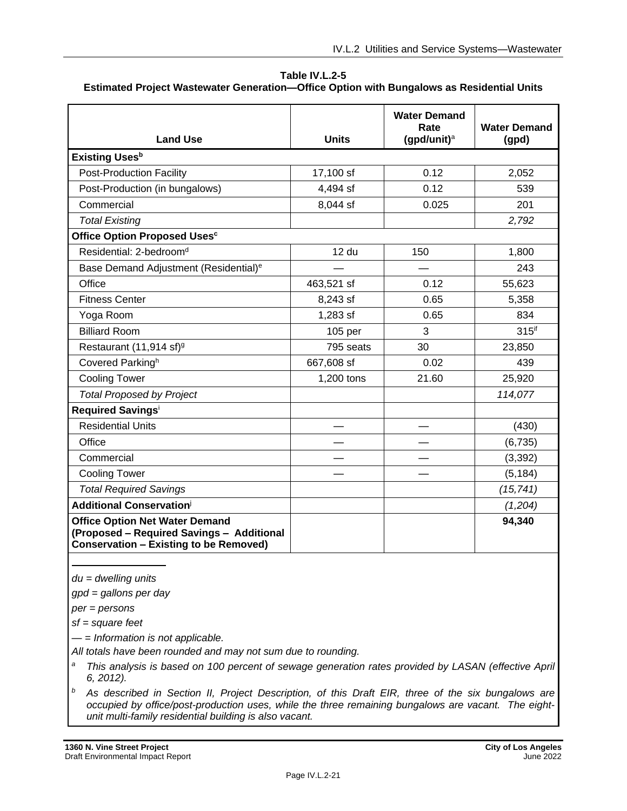**Table IV.L.2-5 Estimated Project Wastewater Generation—Office Option with Bungalows as Residential Units**

| <b>Land Use</b>                                                                                                                     | <b>Units</b> | <b>Water Demand</b><br>Rate<br>(gpd/unit) $a$ | <b>Water Demand</b><br>(gpd) |
|-------------------------------------------------------------------------------------------------------------------------------------|--------------|-----------------------------------------------|------------------------------|
| <b>Existing Uses</b> b                                                                                                              |              |                                               |                              |
| <b>Post-Production Facility</b>                                                                                                     | 17,100 sf    | 0.12                                          | 2,052                        |
| Post-Production (in bungalows)                                                                                                      | 4,494 sf     | 0.12                                          | 539                          |
| Commercial                                                                                                                          | 8,044 sf     | 0.025                                         | 201                          |
| <b>Total Existing</b>                                                                                                               |              |                                               | 2,792                        |
| Office Option Proposed Uses <sup>c</sup>                                                                                            |              |                                               |                              |
| Residential: 2-bedroom <sup>d</sup>                                                                                                 | 12 du        | 150                                           | 1,800                        |
| Base Demand Adjustment (Residential) <sup>e</sup>                                                                                   |              |                                               | 243                          |
| Office                                                                                                                              | 463,521 sf   | 0.12                                          | 55,623                       |
| <b>Fitness Center</b>                                                                                                               | 8,243 sf     | 0.65                                          | 5,358                        |
| Yoga Room                                                                                                                           | 1,283 sf     | 0.65                                          | 834                          |
| <b>Billiard Room</b>                                                                                                                | 105 per      | 3                                             | $315$ <sup>if</sup>          |
| Restaurant (11,914 sf) <sup>9</sup>                                                                                                 | 795 seats    | 30                                            | 23,850                       |
| Covered Parkingh                                                                                                                    | 667,608 sf   | 0.02                                          | 439                          |
| <b>Cooling Tower</b>                                                                                                                | 1,200 tons   | 21.60                                         | 25,920                       |
| <b>Total Proposed by Project</b>                                                                                                    |              |                                               | 114,077                      |
| Required Savingsi                                                                                                                   |              |                                               |                              |
| <b>Residential Units</b>                                                                                                            |              |                                               | (430)                        |
| Office                                                                                                                              |              |                                               | (6,735)                      |
| Commercial                                                                                                                          |              |                                               | (3,392)                      |
| <b>Cooling Tower</b>                                                                                                                |              |                                               | (5, 184)                     |
| <b>Total Required Savings</b>                                                                                                       |              |                                               | (15, 741)                    |
| <b>Additional Conservation</b>                                                                                                      |              |                                               | (1,204)                      |
| <b>Office Option Net Water Demand</b><br>(Proposed - Required Savings - Additional<br><b>Conservation - Existing to be Removed)</b> |              |                                               | 94,340                       |

*du = dwelling units*

*gpd = gallons per day*

*per = persons*

*sf = square feet*

*— = Information is not applicable.*

*All totals have been rounded and may not sum due to rounding.*

- *<sup>a</sup> This analysis is based on 100 percent of sewage generation rates provided by LASAN (effective April 6, 2012).*
- *<sup>b</sup> As described in Section II, Project Description, of this Draft EIR, three of the six bungalows are occupied by office/post-production uses, while the three remaining bungalows are vacant. The eightunit multi-family residential building is also vacant.*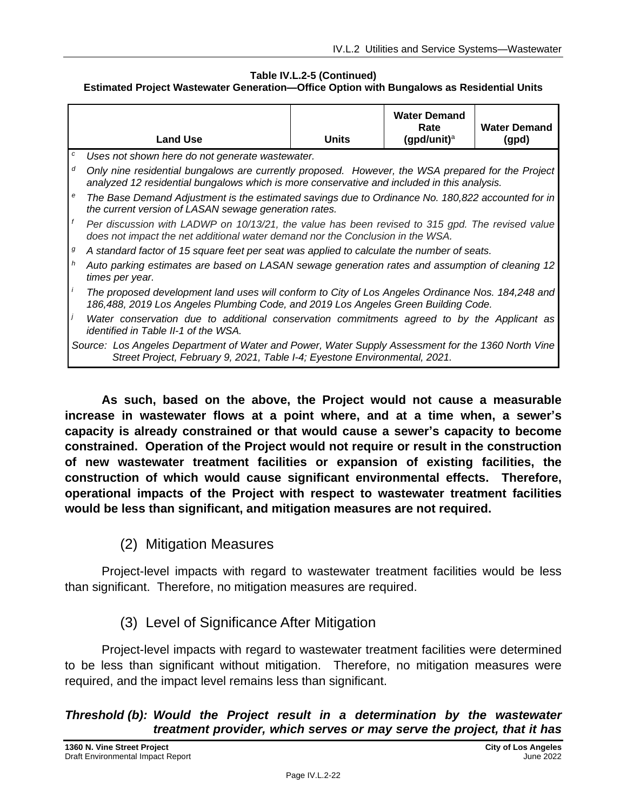#### **Table IV.L.2-5 (Continued) Estimated Project Wastewater Generation—Office Option with Bungalows as Residential Units**

|   | <b>Land Use</b>                                                                                                                                                                                  | <b>Units</b> | <b>Water Demand</b><br>Rate<br>(gpd/unit) $a$ | <b>Water Demand</b><br>(gpd) |
|---|--------------------------------------------------------------------------------------------------------------------------------------------------------------------------------------------------|--------------|-----------------------------------------------|------------------------------|
| с | Uses not shown here do not generate wastewater.                                                                                                                                                  |              |                                               |                              |
| d | Only nine residential bungalows are currently proposed. However, the WSA prepared for the Project<br>analyzed 12 residential bungalows which is more conservative and included in this analysis. |              |                                               |                              |
| е | The Base Demand Adjustment is the estimated savings due to Ordinance No. 180,822 accounted for in<br>the current version of LASAN sewage generation rates.                                       |              |                                               |                              |
|   | Per discussion with LADWP on 10/13/21, the value has been revised to 315 gpd. The revised value<br>does not impact the net additional water demand nor the Conclusion in the WSA.                |              |                                               |                              |
| g | A standard factor of 15 square feet per seat was applied to calculate the number of seats.                                                                                                       |              |                                               |                              |
| h | Auto parking estimates are based on LASAN sewage generation rates and assumption of cleaning 12<br>times per year.                                                                               |              |                                               |                              |
|   | The proposed development land uses will conform to City of Los Angeles Ordinance Nos. 184,248 and<br>186,488, 2019 Los Angeles Plumbing Code, and 2019 Los Angeles Green Building Code.          |              |                                               |                              |
|   | Water conservation due to additional conservation commitments agreed to by the Applicant as<br>identified in Table II-1 of the WSA.                                                              |              |                                               |                              |
|   | Source: Los Angeles Department of Water and Power, Water Supply Assessment for the 1360 North Vine<br>Street Project, February 9, 2021, Table I-4; Eyestone Environmental, 2021.                 |              |                                               |                              |

**As such, based on the above, the Project would not cause a measurable increase in wastewater flows at a point where, and at a time when, a sewer's capacity is already constrained or that would cause a sewer's capacity to become constrained. Operation of the Project would not require or result in the construction of new wastewater treatment facilities or expansion of existing facilities, the construction of which would cause significant environmental effects. Therefore, operational impacts of the Project with respect to wastewater treatment facilities would be less than significant, and mitigation measures are not required.**

(2) Mitigation Measures

Project-level impacts with regard to wastewater treatment facilities would be less than significant. Therefore, no mitigation measures are required.

(3) Level of Significance After Mitigation

Project-level impacts with regard to wastewater treatment facilities were determined to be less than significant without mitigation. Therefore, no mitigation measures were required, and the impact level remains less than significant.

### *Threshold (b): Would the Project result in a determination by the wastewater treatment provider, which serves or may serve the project, that it has*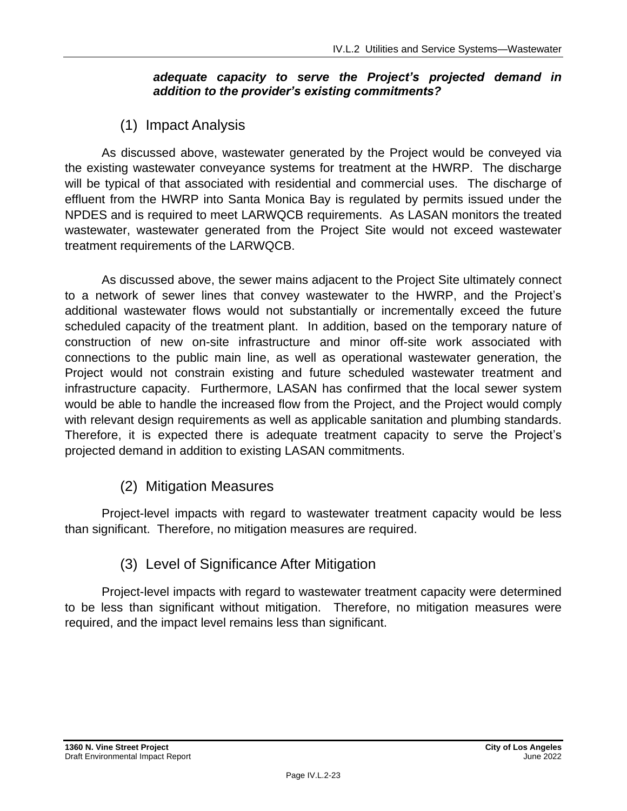### *adequate capacity to serve the Project's projected demand in addition to the provider's existing commitments?*

## (1) Impact Analysis

As discussed above, wastewater generated by the Project would be conveyed via the existing wastewater conveyance systems for treatment at the HWRP. The discharge will be typical of that associated with residential and commercial uses. The discharge of effluent from the HWRP into Santa Monica Bay is regulated by permits issued under the NPDES and is required to meet LARWQCB requirements. As LASAN monitors the treated wastewater, wastewater generated from the Project Site would not exceed wastewater treatment requirements of the LARWQCB.

As discussed above, the sewer mains adjacent to the Project Site ultimately connect to a network of sewer lines that convey wastewater to the HWRP, and the Project's additional wastewater flows would not substantially or incrementally exceed the future scheduled capacity of the treatment plant. In addition, based on the temporary nature of construction of new on-site infrastructure and minor off-site work associated with connections to the public main line, as well as operational wastewater generation, the Project would not constrain existing and future scheduled wastewater treatment and infrastructure capacity. Furthermore, LASAN has confirmed that the local sewer system would be able to handle the increased flow from the Project, and the Project would comply with relevant design requirements as well as applicable sanitation and plumbing standards. Therefore, it is expected there is adequate treatment capacity to serve the Project's projected demand in addition to existing LASAN commitments.

## (2) Mitigation Measures

Project-level impacts with regard to wastewater treatment capacity would be less than significant. Therefore, no mitigation measures are required.

## (3) Level of Significance After Mitigation

Project-level impacts with regard to wastewater treatment capacity were determined to be less than significant without mitigation. Therefore, no mitigation measures were required, and the impact level remains less than significant.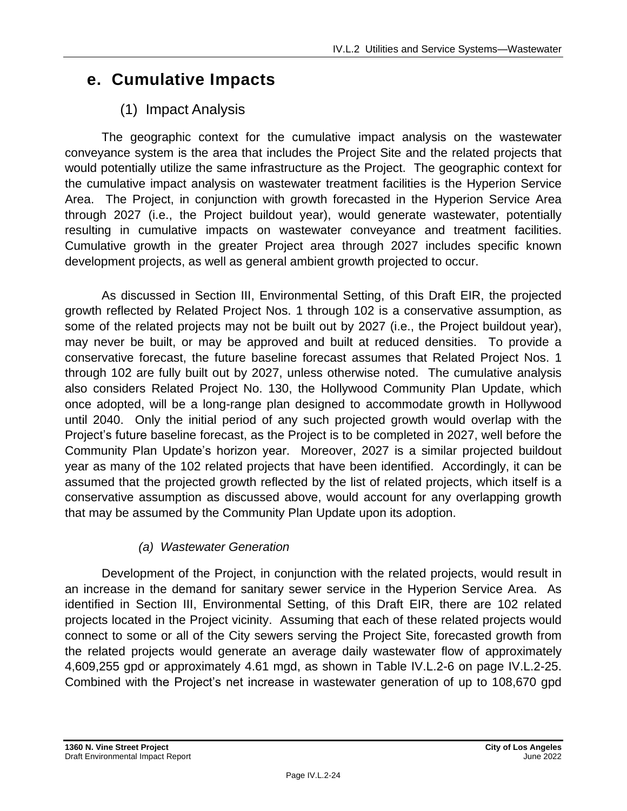## **e. Cumulative Impacts**

## (1) Impact Analysis

The geographic context for the cumulative impact analysis on the wastewater conveyance system is the area that includes the Project Site and the related projects that would potentially utilize the same infrastructure as the Project. The geographic context for the cumulative impact analysis on wastewater treatment facilities is the Hyperion Service Area. The Project, in conjunction with growth forecasted in the Hyperion Service Area through 2027 (i.e., the Project buildout year), would generate wastewater, potentially resulting in cumulative impacts on wastewater conveyance and treatment facilities. Cumulative growth in the greater Project area through 2027 includes specific known development projects, as well as general ambient growth projected to occur.

As discussed in Section III, Environmental Setting, of this Draft EIR, the projected growth reflected by Related Project Nos. 1 through 102 is a conservative assumption, as some of the related projects may not be built out by 2027 (i.e., the Project buildout year), may never be built, or may be approved and built at reduced densities. To provide a conservative forecast, the future baseline forecast assumes that Related Project Nos. 1 through 102 are fully built out by 2027, unless otherwise noted. The cumulative analysis also considers Related Project No. 130, the Hollywood Community Plan Update, which once adopted, will be a long-range plan designed to accommodate growth in Hollywood until 2040. Only the initial period of any such projected growth would overlap with the Project's future baseline forecast, as the Project is to be completed in 2027, well before the Community Plan Update's horizon year. Moreover, 2027 is a similar projected buildout year as many of the 102 related projects that have been identified. Accordingly, it can be assumed that the projected growth reflected by the list of related projects, which itself is a conservative assumption as discussed above, would account for any overlapping growth that may be assumed by the Community Plan Update upon its adoption.

## *(a) Wastewater Generation*

Development of the Project, in conjunction with the related projects, would result in an increase in the demand for sanitary sewer service in the Hyperion Service Area. As identified in Section III, Environmental Setting, of this Draft EIR, there are 102 related projects located in the Project vicinity. Assuming that each of these related projects would connect to some or all of the City sewers serving the Project Site, forecasted growth from the related projects would generate an average daily wastewater flow of approximately 4,609,255 gpd or approximately 4.61 mgd, as shown in Table IV.L.2-6 on page IV.L.2-25. Combined with the Project's net increase in wastewater generation of up to 108,670 gpd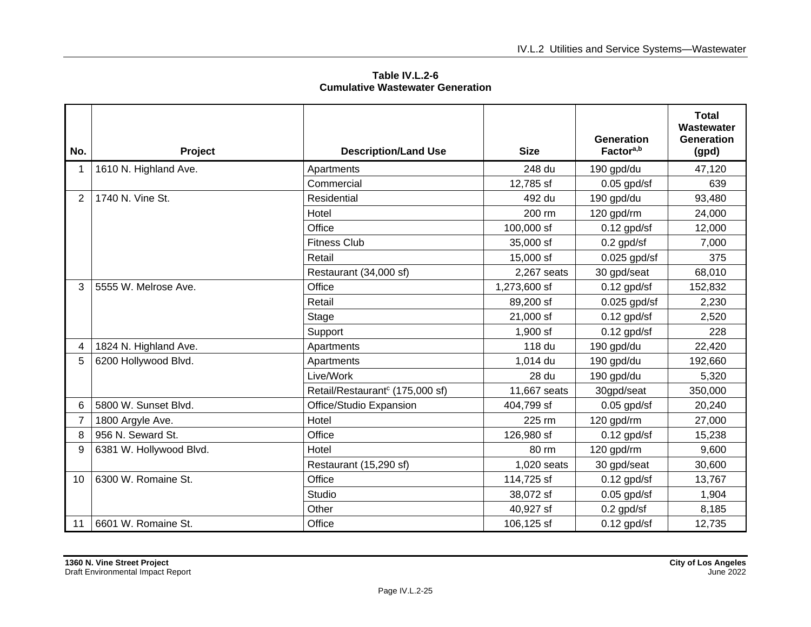**Table IV.L.2-6 Cumulative Wastewater Generation**

| No. | Project                 | <b>Description/Land Use</b>                 | <b>Size</b>  | <b>Generation</b><br>Factor <sup>a,b</sup> | <b>Total</b><br>Wastewater<br><b>Generation</b><br>(gpd) |
|-----|-------------------------|---------------------------------------------|--------------|--------------------------------------------|----------------------------------------------------------|
|     | 1610 N. Highland Ave.   | Apartments                                  | 248 du       | 190 gpd/du                                 | 47,120                                                   |
|     |                         | Commercial                                  | 12,785 sf    | $0.05$ gpd/sf                              | 639                                                      |
| 2   | 1740 N. Vine St.        | Residential                                 | 492 du       | 190 gpd/du                                 | 93,480                                                   |
|     |                         | Hotel                                       | 200 rm       | 120 gpd/rm                                 | 24,000                                                   |
|     |                         | Office                                      | 100,000 sf   | $0.12$ gpd/sf                              | 12,000                                                   |
|     |                         | <b>Fitness Club</b>                         | 35,000 sf    | $0.2$ gpd/sf                               | 7,000                                                    |
|     |                         | Retail                                      | 15,000 sf    | $0.025$ gpd/sf                             | 375                                                      |
|     |                         | Restaurant (34,000 sf)                      | 2,267 seats  | 30 gpd/seat                                | 68,010                                                   |
| 3   | 5555 W. Melrose Ave.    | Office                                      | 1,273,600 sf | $0.12$ gpd/sf                              | 152,832                                                  |
|     |                         | Retail                                      | 89,200 sf    | $0.025$ gpd/sf                             | 2,230                                                    |
|     |                         | Stage                                       | 21,000 sf    | $0.12$ gpd/sf                              | 2,520                                                    |
|     |                         | Support                                     | $1,900$ sf   | $0.12$ gpd/sf                              | 228                                                      |
| 4   | 1824 N. Highland Ave.   | Apartments                                  | 118 du       | 190 gpd/du                                 | 22,420                                                   |
| 5   | 6200 Hollywood Blvd.    | Apartments                                  | 1,014 du     | 190 gpd/du                                 | 192,660                                                  |
|     |                         | Live/Work                                   | 28 du        | 190 gpd/du                                 | 5,320                                                    |
|     |                         | Retail/Restaurant <sup>c</sup> (175,000 sf) | 11,667 seats | 30gpd/seat                                 | 350,000                                                  |
| 6   | 5800 W. Sunset Blvd.    | Office/Studio Expansion                     | 404,799 sf   | $0.05$ gpd/sf                              | 20,240                                                   |
|     | 1800 Argyle Ave.        | Hotel                                       | 225 rm       | 120 gpd/rm                                 | 27,000                                                   |
| 8   | 956 N. Seward St.       | Office                                      | 126,980 sf   | $0.12$ gpd/sf                              | 15,238                                                   |
| 9   | 6381 W. Hollywood Blvd. | Hotel                                       | 80 rm        | 120 gpd/rm                                 | 9,600                                                    |
|     |                         | Restaurant (15,290 sf)                      | 1,020 seats  | 30 gpd/seat                                | 30,600                                                   |
| 10  | 6300 W. Romaine St.     | Office                                      | 114,725 sf   | $0.12$ gpd/sf                              | 13,767                                                   |
|     |                         | Studio                                      | 38,072 sf    | $0.05$ gpd/sf                              | 1,904                                                    |
|     |                         | Other                                       | 40,927 sf    | $0.2$ gpd/sf                               | 8,185                                                    |
| 11  | 6601 W. Romaine St.     | Office                                      | 106,125 sf   | $0.12$ gpd/sf                              | 12,735                                                   |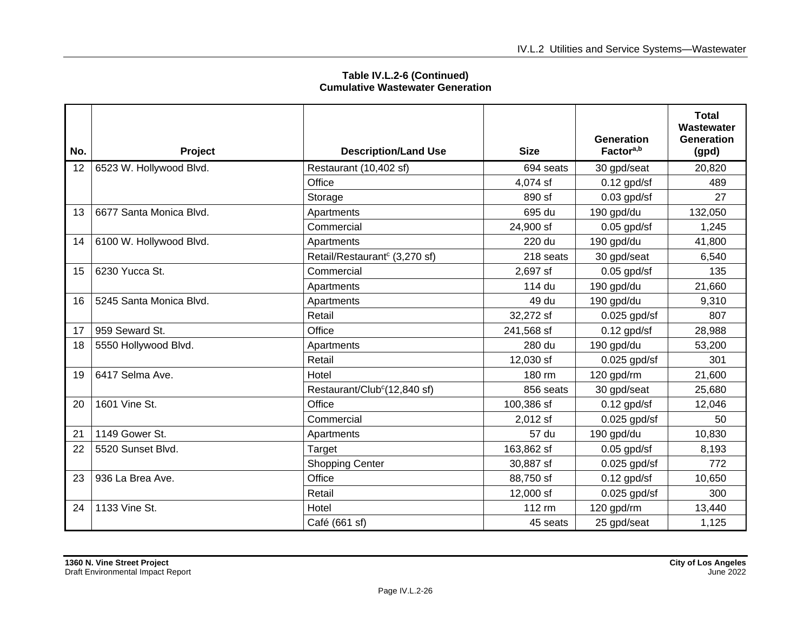| No. | Project                 | <b>Description/Land Use</b>               | <b>Size</b> | <b>Generation</b><br>Factor <sup>a,b</sup> | <b>Total</b><br>Wastewater<br><b>Generation</b><br>(gpd) |
|-----|-------------------------|-------------------------------------------|-------------|--------------------------------------------|----------------------------------------------------------|
| 12  | 6523 W. Hollywood Blvd. | Restaurant (10,402 sf)                    | 694 seats   | 30 gpd/seat                                | 20,820                                                   |
|     |                         | Office                                    | 4,074 sf    | $0.12$ gpd/sf                              | 489                                                      |
|     |                         | Storage                                   | 890 sf      | $0.03$ gpd/sf                              | 27                                                       |
| 13  | 6677 Santa Monica Blvd. | Apartments                                | 695 du      | 190 gpd/du                                 | 132,050                                                  |
|     |                         | Commercial                                | 24,900 sf   | $0.05$ gpd/sf                              | 1,245                                                    |
| 14  | 6100 W. Hollywood Blvd. | Apartments                                | 220 du      | 190 gpd/du                                 | 41,800                                                   |
|     |                         | Retail/Restaurant <sup>c</sup> (3,270 sf) | 218 seats   | 30 gpd/seat                                | 6,540                                                    |
| 15  | 6230 Yucca St.          | Commercial                                | 2,697 sf    | $0.05$ gpd/sf                              | 135                                                      |
|     |                         | Apartments                                | 114 du      | 190 gpd/du                                 | 21,660                                                   |
| 16  | 5245 Santa Monica Blvd. | Apartments                                | 49 du       | 190 gpd/du                                 | 9,310                                                    |
|     |                         | Retail                                    | 32,272 sf   | $0.025$ gpd/sf                             | 807                                                      |
| 17  | 959 Seward St.          | Office                                    | 241,568 sf  | $0.12$ gpd/sf                              | 28,988                                                   |
| 18  | 5550 Hollywood Blvd.    | Apartments                                | 280 du      | 190 gpd/du                                 | 53,200                                                   |
|     |                         | Retail                                    | 12,030 sf   | $0.025$ gpd/sf                             | 301                                                      |
| 19  | 6417 Selma Ave.         | Hotel                                     | 180 rm      | 120 gpd/rm                                 | 21,600                                                   |
|     |                         | Restaurant/Club <sup>c</sup> (12,840 sf)  | 856 seats   | 30 gpd/seat                                | 25,680                                                   |
| 20  | 1601 Vine St.           | Office                                    | 100,386 sf  | $0.12$ gpd/sf                              | 12,046                                                   |
|     |                         | Commercial                                | 2,012 sf    | $0.025$ gpd/sf                             | 50                                                       |
| 21  | 1149 Gower St.          | Apartments                                | 57 du       | 190 gpd/du                                 | 10,830                                                   |
| 22  | 5520 Sunset Blvd.       | Target                                    | 163,862 sf  | $0.05$ gpd/sf                              | 8,193                                                    |
|     |                         | <b>Shopping Center</b>                    | 30,887 sf   | $0.025$ gpd/sf                             | 772                                                      |
| 23  | 936 La Brea Ave.        | Office                                    | 88,750 sf   | $0.12$ gpd/sf                              | 10,650                                                   |
|     |                         | Retail                                    | 12,000 sf   | $0.025$ gpd/sf                             | 300                                                      |
| 24  | 1133 Vine St.           | Hotel                                     | 112 rm      | 120 gpd/rm                                 | 13,440                                                   |
|     |                         | Café (661 sf)                             | 45 seats    | 25 gpd/seat                                | 1,125                                                    |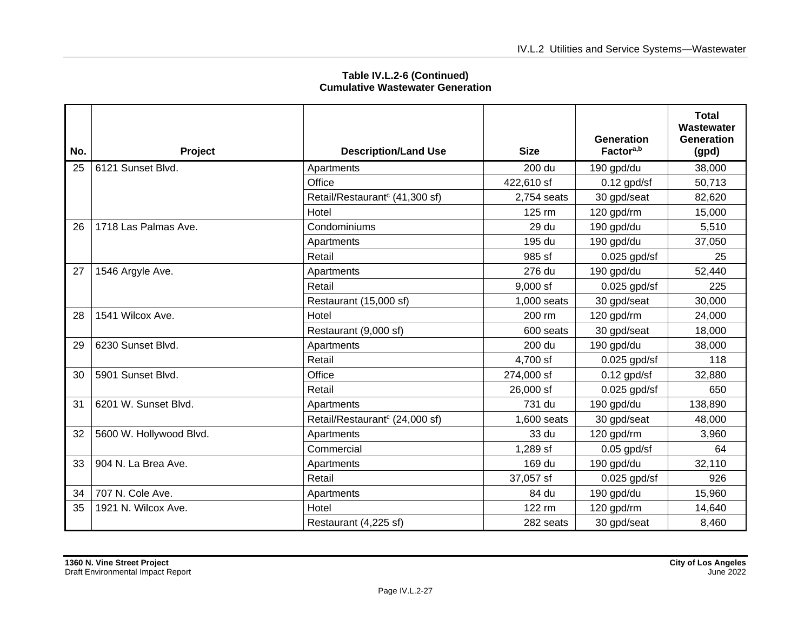| No. | Project                 | <b>Description/Land Use</b>                | <b>Size</b> | <b>Generation</b><br>Factor <sup>a,b</sup> | <b>Total</b><br>Wastewater<br>Generation<br>(gpd) |
|-----|-------------------------|--------------------------------------------|-------------|--------------------------------------------|---------------------------------------------------|
| 25  | 6121 Sunset Blvd.       | Apartments                                 | 200 du      | 190 gpd/du                                 | 38,000                                            |
|     |                         | Office                                     | 422,610 sf  | $0.12$ gpd/sf                              | 50,713                                            |
|     |                         | Retail/Restaurant <sup>c</sup> (41,300 sf) | 2,754 seats | 30 gpd/seat                                | 82,620                                            |
|     |                         | Hotel                                      | 125 rm      | 120 gpd/rm                                 | 15,000                                            |
| 26  | 1718 Las Palmas Ave.    | Condominiums                               | 29 du       | 190 gpd/du                                 | 5,510                                             |
|     |                         | Apartments                                 | 195 du      | 190 gpd/du                                 | 37,050                                            |
|     |                         | Retail                                     | 985 sf      | $0.025$ gpd/sf                             | 25                                                |
| 27  | 1546 Argyle Ave.        | Apartments                                 | 276 du      | 190 gpd/du                                 | 52,440                                            |
|     |                         | Retail                                     | $9,000$ sf  | $0.025$ gpd/sf                             | 225                                               |
|     |                         | Restaurant (15,000 sf)                     | 1.000 seats | 30 gpd/seat                                | 30,000                                            |
| 28  | 1541 Wilcox Ave.        | Hotel                                      | 200 rm      | 120 gpd/rm                                 | 24,000                                            |
|     |                         | Restaurant (9,000 sf)                      | 600 seats   | 30 gpd/seat                                | 18,000                                            |
| 29  | 6230 Sunset Blvd.       | Apartments                                 | 200 du      | 190 gpd/du                                 | 38,000                                            |
|     |                         | Retail                                     | 4,700 sf    | $0.025$ gpd/sf                             | 118                                               |
| 30  | 5901 Sunset Blvd.       | Office                                     | 274,000 sf  | $0.12$ gpd/sf                              | 32,880                                            |
|     |                         | Retail                                     | 26,000 sf   | $0.025$ gpd/sf                             | 650                                               |
| 31  | 6201 W. Sunset Blvd.    | Apartments                                 | 731 du      | 190 gpd/du                                 | 138,890                                           |
|     |                         | Retail/Restaurant <sup>c</sup> (24,000 sf) | 1,600 seats | 30 gpd/seat                                | 48,000                                            |
| 32  | 5600 W. Hollywood Blvd. | Apartments                                 | 33 du       | 120 gpd/rm                                 | 3,960                                             |
|     |                         | Commercial                                 | 1,289 sf    | $0.05$ gpd/sf                              | 64                                                |
| 33  | 904 N. La Brea Ave.     | Apartments                                 | 169 du      | 190 gpd/du                                 | 32,110                                            |
|     |                         | Retail                                     | 37,057 sf   | $0.025$ gpd/sf                             | 926                                               |
| 34  | 707 N. Cole Ave.        | Apartments                                 | 84 du       | 190 gpd/du                                 | 15,960                                            |
| 35  | 1921 N. Wilcox Ave.     | Hotel                                      | 122 rm      | 120 gpd/rm                                 | 14,640                                            |
|     |                         | Restaurant (4,225 sf)                      | 282 seats   | 30 gpd/seat                                | 8,460                                             |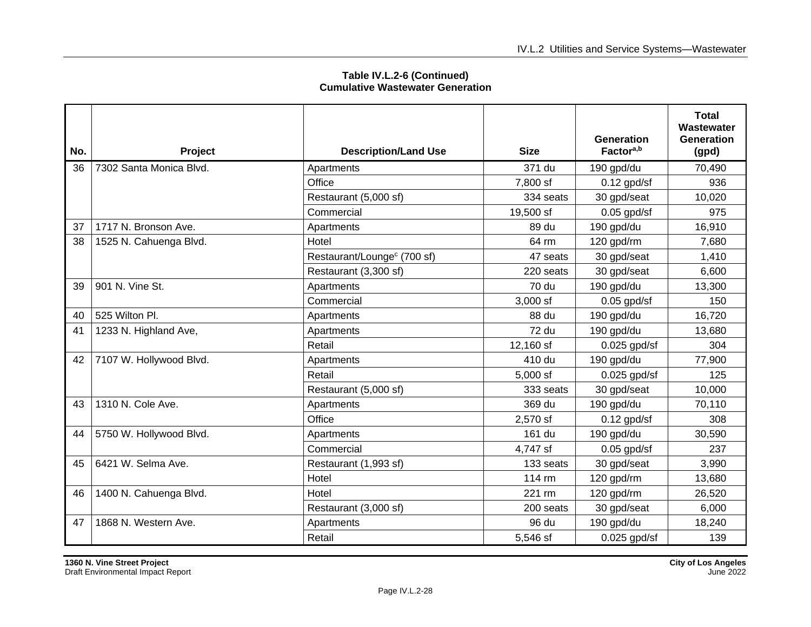| No. | Project                 | <b>Description/Land Use</b>             | <b>Size</b>  | Generation<br>Factor <sup>a,b</sup> | <b>Total</b><br>Wastewater<br><b>Generation</b><br>(gpd) |
|-----|-------------------------|-----------------------------------------|--------------|-------------------------------------|----------------------------------------------------------|
| 36  | 7302 Santa Monica Blvd. | Apartments                              | 371 du       | 190 gpd/du                          | 70,490                                                   |
|     |                         | Office                                  | 7,800 sf     | $0.12$ gpd/sf                       | 936                                                      |
|     |                         | Restaurant (5,000 sf)                   | 334 seats    | 30 gpd/seat                         | 10,020                                                   |
|     |                         | Commercial                              | 19,500 sf    | $0.05$ gpd/sf                       | 975                                                      |
| 37  | 1717 N. Bronson Ave.    | Apartments                              | 89 du        | 190 gpd/du                          | 16,910                                                   |
| 38  | 1525 N. Cahuenga Blvd.  | Hotel                                   | 64 rm        | 120 gpd/rm                          | 7,680                                                    |
|     |                         | Restaurant/Lounge <sup>c</sup> (700 sf) | 47 seats     | 30 gpd/seat                         | 1,410                                                    |
|     |                         | Restaurant (3,300 sf)                   | 220 seats    | 30 gpd/seat                         | 6,600                                                    |
| 39  | 901 N. Vine St.         | Apartments                              | <b>70 du</b> | 190 gpd/du                          | 13,300                                                   |
|     |                         | Commercial                              | $3,000$ sf   | $0.05$ gpd/sf                       | 150                                                      |
| 40  | 525 Wilton Pl.          | Apartments                              | 88 du        | 190 gpd/du                          | 16,720                                                   |
| 41  | 1233 N. Highland Ave,   | Apartments                              | 72 du        | 190 gpd/du                          | 13,680                                                   |
|     |                         | Retail                                  | 12,160 sf    | $0.025$ gpd/sf                      | 304                                                      |
| 42  | 7107 W. Hollywood Blvd. | Apartments                              | 410 du       | 190 gpd/du                          | 77,900                                                   |
|     |                         | Retail                                  | 5,000 sf     | $0.025$ gpd/sf                      | 125                                                      |
|     |                         | Restaurant (5,000 sf)                   | 333 seats    | 30 gpd/seat                         | 10,000                                                   |
| 43  | 1310 N. Cole Ave.       | Apartments                              | 369 du       | 190 gpd/du                          | 70,110                                                   |
|     |                         | Office                                  | 2,570 sf     | $0.12$ gpd/sf                       | 308                                                      |
| 44  | 5750 W. Hollywood Blvd. | Apartments                              | 161 du       | 190 gpd/du                          | 30,590                                                   |
|     |                         | Commercial                              | 4,747 sf     | $0.05$ gpd/sf                       | 237                                                      |
| 45  | 6421 W. Selma Ave.      | Restaurant (1,993 sf)                   | 133 seats    | 30 gpd/seat                         | 3,990                                                    |
|     |                         | Hotel                                   | 114 rm       | 120 gpd/rm                          | 13,680                                                   |
| 46  | 1400 N. Cahuenga Blvd.  | Hotel                                   | 221 rm       | 120 gpd/rm                          | 26,520                                                   |
|     |                         | Restaurant (3,000 sf)                   | 200 seats    | 30 gpd/seat                         | 6,000                                                    |
| 47  | 1868 N. Western Ave.    | Apartments                              | 96 du        | 190 gpd/du                          | 18,240                                                   |
|     |                         | Retail                                  | 5,546 sf     | $0.025$ gpd/sf                      | 139                                                      |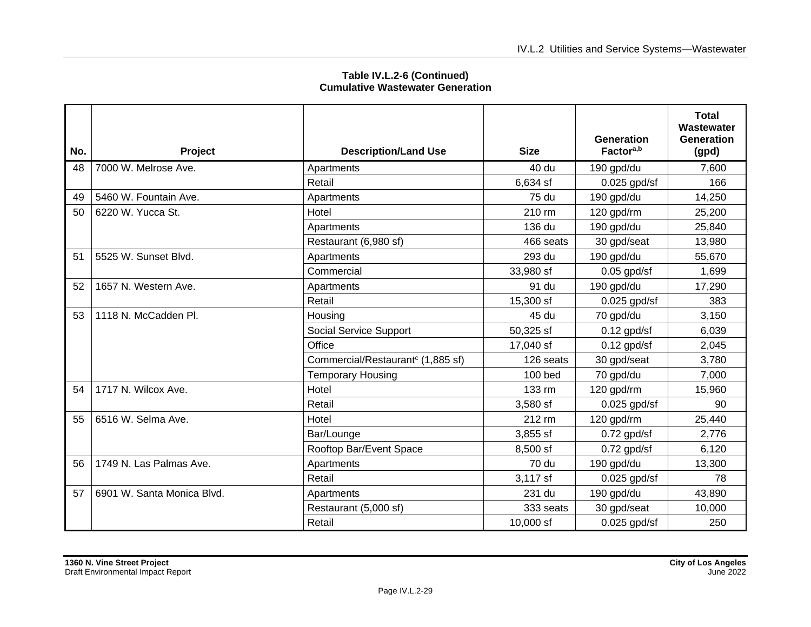| No. | <b>Project</b>             | <b>Description/Land Use</b>                   | <b>Size</b> | <b>Generation</b><br>Factor <sup>a,b</sup> | <b>Total</b><br>Wastewater<br>Generation<br>(gpd) |
|-----|----------------------------|-----------------------------------------------|-------------|--------------------------------------------|---------------------------------------------------|
| 48  | 7000 W. Melrose Ave.       | Apartments                                    | 40 du       | 190 gpd/du                                 | 7,600                                             |
|     |                            | Retail                                        | 6,634 sf    | $0.025$ gpd/sf                             | 166                                               |
| 49  | 5460 W. Fountain Ave.      | Apartments                                    | 75 du       | 190 gpd/du                                 | 14,250                                            |
| 50  | 6220 W. Yucca St.          | Hotel                                         | 210 rm      | 120 gpd/rm                                 | 25,200                                            |
|     |                            | Apartments                                    | 136 du      | 190 gpd/du                                 | 25,840                                            |
|     |                            | Restaurant (6,980 sf)                         | 466 seats   | 30 gpd/seat                                | 13,980                                            |
| 51  | 5525 W. Sunset Blvd.       | Apartments                                    | 293 du      | 190 gpd/du                                 | 55,670                                            |
|     |                            | Commercial                                    | 33,980 sf   | $0.05$ gpd/sf                              | 1,699                                             |
| 52  | 1657 N. Western Ave.       | Apartments                                    | 91 du       | 190 gpd/du                                 | 17,290                                            |
|     |                            | Retail                                        | 15,300 sf   | $0.025$ gpd/sf                             | 383                                               |
| 53  | 1118 N. McCadden Pl.       | Housing                                       | 45 du       | 70 gpd/du                                  | 3,150                                             |
|     |                            | Social Service Support                        | 50,325 sf   | $0.12$ gpd/sf                              | 6,039                                             |
|     |                            | Office                                        | 17,040 sf   | $0.12$ gpd/sf                              | 2,045                                             |
|     |                            | Commercial/Restaurant <sup>c</sup> (1,885 sf) | 126 seats   | 30 gpd/seat                                | 3,780                                             |
|     |                            | <b>Temporary Housing</b>                      | 100 bed     | 70 gpd/du                                  | 7,000                                             |
| 54  | 1717 N. Wilcox Ave.        | Hotel                                         | 133 rm      | 120 gpd/rm                                 | 15,960                                            |
|     |                            | Retail                                        | $3,580$ sf  | $0.025$ gpd/sf                             | 90                                                |
| 55  | 6516 W. Selma Ave.         | Hotel                                         | 212 rm      | 120 gpd/rm                                 | 25,440                                            |
|     |                            | Bar/Lounge                                    | 3,855 sf    | $0.72$ gpd/sf                              | 2,776                                             |
|     |                            | Rooftop Bar/Event Space                       | 8,500 sf    | $0.72$ gpd/sf                              | 6,120                                             |
| 56  | 1749 N. Las Palmas Ave.    | Apartments                                    | 70 du       | 190 gpd/du                                 | 13,300                                            |
|     |                            | Retail                                        | 3,117 sf    | $0.025$ gpd/sf                             | 78                                                |
| 57  | 6901 W. Santa Monica Blvd. | Apartments                                    | 231 du      | 190 gpd/du                                 | 43,890                                            |
|     |                            | Restaurant (5,000 sf)                         | 333 seats   | 30 gpd/seat                                | 10,000                                            |
|     |                            | Retail                                        | 10,000 sf   | $0.025$ gpd/sf                             | 250                                               |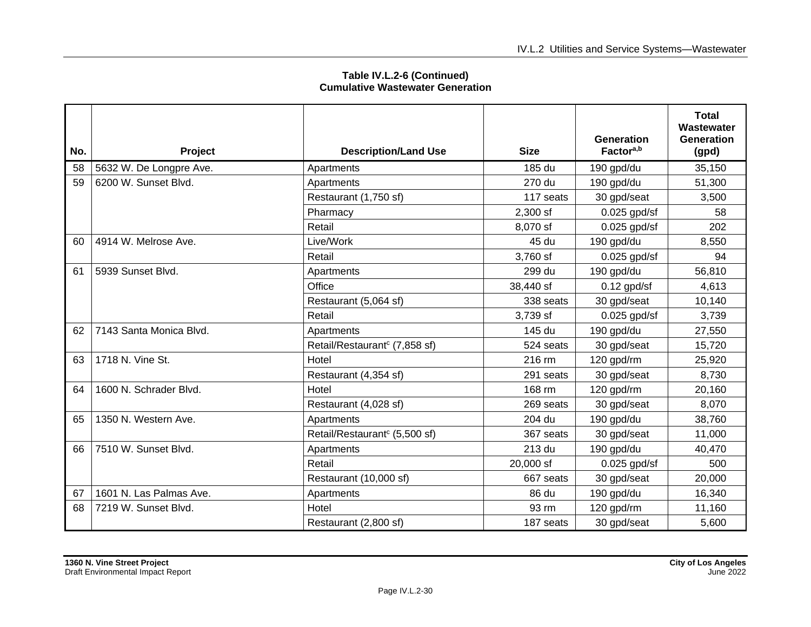| No. | Project                 | <b>Description/Land Use</b>               | <b>Size</b> | <b>Generation</b><br>Factor <sup>a,b</sup> | <b>Total</b><br>Wastewater<br><b>Generation</b><br>(gpd) |
|-----|-------------------------|-------------------------------------------|-------------|--------------------------------------------|----------------------------------------------------------|
| 58  | 5632 W. De Longpre Ave. | Apartments                                | 185 du      | 190 gpd/du                                 | 35,150                                                   |
| 59  | 6200 W. Sunset Blvd.    | Apartments                                | 270 du      | 190 gpd/du                                 | 51,300                                                   |
|     |                         | Restaurant (1,750 sf)                     | 117 seats   | 30 gpd/seat                                | 3,500                                                    |
|     |                         | Pharmacy                                  | 2,300 sf    | $0.025$ gpd/sf                             | 58                                                       |
|     |                         | Retail                                    | 8,070 sf    | $0.025$ gpd/sf                             | 202                                                      |
| 60  | 4914 W. Melrose Ave.    | Live/Work                                 | 45 du       | 190 gpd/du                                 | 8,550                                                    |
|     |                         | Retail                                    | 3,760 sf    | $0.025$ gpd/sf                             | 94                                                       |
| 61  | 5939 Sunset Blvd.       | Apartments                                | 299 du      | 190 gpd/du                                 | 56,810                                                   |
|     |                         | Office                                    | 38,440 sf   | $0.12$ gpd/sf                              | 4,613                                                    |
|     |                         | Restaurant (5,064 sf)                     | 338 seats   | 30 gpd/seat                                | 10,140                                                   |
|     |                         | Retail                                    | 3,739 sf    | $0.025$ gpd/sf                             | 3,739                                                    |
| 62  | 7143 Santa Monica Blvd. | Apartments                                | 145 du      | 190 gpd/du                                 | 27,550                                                   |
|     |                         | Retail/Restaurant <sup>c</sup> (7,858 sf) | 524 seats   | 30 gpd/seat                                | 15,720                                                   |
| 63  | 1718 N. Vine St.        | Hotel                                     | 216 rm      | 120 gpd/rm                                 | 25,920                                                   |
|     |                         | Restaurant (4,354 sf)                     | 291 seats   | 30 gpd/seat                                | 8,730                                                    |
| 64  | 1600 N. Schrader Blvd.  | Hotel                                     | 168 rm      | 120 gpd/rm                                 | 20,160                                                   |
|     |                         | Restaurant (4,028 sf)                     | 269 seats   | 30 gpd/seat                                | 8,070                                                    |
| 65  | 1350 N. Western Ave.    | Apartments                                | 204 du      | 190 gpd/du                                 | 38,760                                                   |
|     |                         | Retail/Restaurant <sup>c</sup> (5,500 sf) | 367 seats   | 30 gpd/seat                                | 11,000                                                   |
| 66  | 7510 W. Sunset Blvd.    | Apartments                                | 213 du      | 190 gpd/du                                 | 40,470                                                   |
|     |                         | Retail                                    | 20,000 sf   | $0.025$ gpd/sf                             | 500                                                      |
|     |                         | Restaurant (10,000 sf)                    | 667 seats   | 30 gpd/seat                                | 20,000                                                   |
| 67  | 1601 N. Las Palmas Ave. | Apartments                                | 86 du       | 190 gpd/du                                 | 16,340                                                   |
| 68  | 7219 W. Sunset Blvd.    | Hotel                                     | 93 rm       | 120 gpd/rm                                 | 11,160                                                   |
|     |                         | Restaurant (2,800 sf)                     | 187 seats   | 30 gpd/seat                                | 5,600                                                    |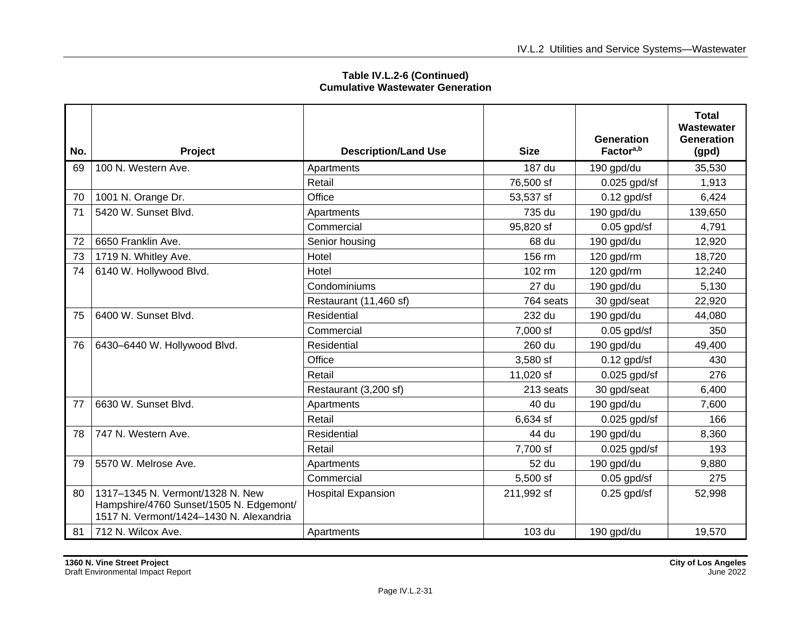| No. | Project                                                                                                                | <b>Description/Land Use</b> | <b>Size</b> | <b>Generation</b><br>Factor <sup>a,b</sup> | Total<br>Wastewater<br><b>Generation</b><br>(gpd) |
|-----|------------------------------------------------------------------------------------------------------------------------|-----------------------------|-------------|--------------------------------------------|---------------------------------------------------|
| 69  | 100 N. Western Ave.                                                                                                    | Apartments                  | 187 du      | 190 gpd/du                                 | 35,530                                            |
|     |                                                                                                                        | Retail                      | 76,500 sf   | $0.025$ gpd/sf                             | 1.913                                             |
| 70  | 1001 N. Orange Dr.                                                                                                     | Office                      | 53,537 sf   | $0.12$ gpd/sf                              | 6,424                                             |
| 71  | 5420 W. Sunset Blvd.                                                                                                   | Apartments                  | 735 du      | 190 gpd/du                                 | 139,650                                           |
|     |                                                                                                                        | Commercial                  | 95,820 sf   | $0.05$ gpd/sf                              | 4,791                                             |
| 72  | 6650 Franklin Ave.                                                                                                     | Senior housing              | 68 du       | 190 gpd/du                                 | 12,920                                            |
| 73  | 1719 N. Whitley Ave.                                                                                                   | Hotel                       | 156 rm      | 120 gpd/rm                                 | 18,720                                            |
| 74  | 6140 W. Hollywood Blvd.                                                                                                | Hotel                       | 102 rm      | 120 gpd/rm                                 | 12,240                                            |
|     |                                                                                                                        | Condominiums                | 27 du       | 190 gpd/du                                 | 5,130                                             |
|     |                                                                                                                        | Restaurant (11,460 sf)      | 764 seats   | 30 gpd/seat                                | 22,920                                            |
| 75  | 6400 W. Sunset Blvd.                                                                                                   | Residential                 | 232 du      | 190 gpd/du                                 | 44,080                                            |
|     |                                                                                                                        | Commercial                  | 7,000 sf    | $0.05$ gpd/sf                              | 350                                               |
| 76  | 6430-6440 W. Hollywood Blvd.                                                                                           | Residential                 | 260 du      | 190 gpd/du                                 | 49,400                                            |
|     |                                                                                                                        | Office                      | 3,580 sf    | $0.12$ gpd/sf                              | 430                                               |
|     |                                                                                                                        | Retail                      | 11,020 sf   | $0.025$ gpd/sf                             | 276                                               |
|     |                                                                                                                        | Restaurant (3,200 sf)       | 213 seats   | 30 gpd/seat                                | 6,400                                             |
| 77  | 6630 W. Sunset Blvd.                                                                                                   | Apartments                  | 40 du       | 190 gpd/du                                 | 7,600                                             |
|     |                                                                                                                        | Retail                      | 6,634 sf    | $0.025$ gpd/sf                             | 166                                               |
| 78  | 747 N. Western Ave.                                                                                                    | Residential                 | 44 du       | 190 gpd/du                                 | 8,360                                             |
|     |                                                                                                                        | Retail                      | 7,700 sf    | $0.025$ gpd/sf                             | 193                                               |
| 79  | 5570 W. Melrose Ave.                                                                                                   | Apartments                  | 52 du       | 190 gpd/du                                 | 9,880                                             |
|     |                                                                                                                        | Commercial                  | 5,500 sf    | $0.05$ gpd/sf                              | 275                                               |
| 80  | 1317-1345 N. Vermont/1328 N. New<br>Hampshire/4760 Sunset/1505 N. Edgemont/<br>1517 N. Vermont/1424-1430 N. Alexandria | <b>Hospital Expansion</b>   | 211,992 sf  | $0.25$ gpd/sf                              | 52,998                                            |
| 81  | 712 N. Wilcox Ave.                                                                                                     | Apartments                  | 103 du      | 190 gpd/du                                 | 19,570                                            |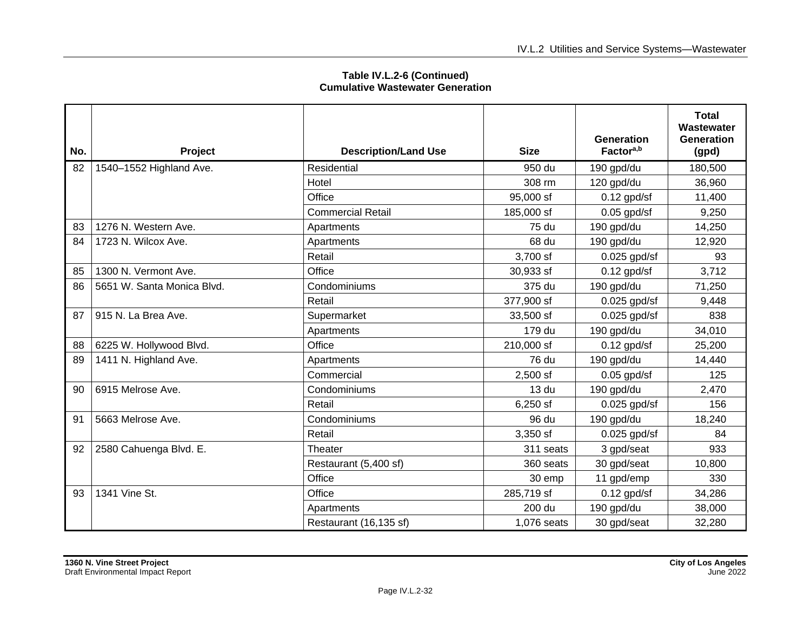| No. | Project                    | <b>Description/Land Use</b> | <b>Size</b>  | <b>Generation</b><br>Factor <sup>a,b</sup> | <b>Total</b><br>Wastewater<br><b>Generation</b><br>(gpd) |
|-----|----------------------------|-----------------------------|--------------|--------------------------------------------|----------------------------------------------------------|
| 82  | 1540-1552 Highland Ave.    | Residential                 | 950 du       | 190 gpd/du                                 | 180,500                                                  |
|     |                            | Hotel                       | 308 rm       | 120 gpd/du                                 | 36,960                                                   |
|     |                            | Office                      | 95,000 sf    | $0.12$ gpd/sf                              | 11,400                                                   |
|     |                            | <b>Commercial Retail</b>    | 185,000 sf   | $0.05$ gpd/sf                              | 9,250                                                    |
| 83  | 1276 N. Western Ave.       | Apartments                  | 75 du        | 190 gpd/du                                 | 14,250                                                   |
| 84  | 1723 N. Wilcox Ave.        | Apartments                  | 68 du        | 190 gpd/du                                 | 12,920                                                   |
|     |                            | Retail                      | 3,700 sf     | $0.025$ gpd/sf                             | 93                                                       |
| 85  | 1300 N. Vermont Ave.       | Office                      | 30,933 sf    | $0.12$ gpd/sf                              | 3,712                                                    |
| 86  | 5651 W. Santa Monica Blvd. | Condominiums                | 375 du       | 190 gpd/du                                 | 71,250                                                   |
|     |                            | Retail                      | 377,900 sf   | $0.025$ gpd/sf                             | 9,448                                                    |
| 87  | 915 N. La Brea Ave.        | Supermarket                 | 33,500 sf    | $0.025$ gpd/sf                             | 838                                                      |
|     |                            | Apartments                  | 179 du       | 190 gpd/du                                 | 34,010                                                   |
| 88  | 6225 W. Hollywood Blvd.    | Office                      | 210,000 sf   | $0.12$ gpd/sf                              | 25,200                                                   |
| 89  | 1411 N. Highland Ave.      | Apartments                  | <b>76 du</b> | 190 gpd/du                                 | 14,440                                                   |
|     |                            | Commercial                  | $2,500$ sf   | $0.05$ gpd/sf                              | 125                                                      |
| 90  | 6915 Melrose Ave.          | Condominiums                | 13 du        | 190 gpd/du                                 | 2,470                                                    |
|     |                            | Retail                      | $6,250$ sf   | $0.025$ gpd/sf                             | 156                                                      |
| 91  | 5663 Melrose Ave.          | Condominiums                | 96 du        | 190 gpd/du                                 | 18,240                                                   |
|     |                            | Retail                      | 3,350 sf     | $0.025$ gpd/sf                             | 84                                                       |
| 92  | 2580 Cahuenga Blvd. E.     | Theater                     | 311 seats    | 3 gpd/seat                                 | 933                                                      |
|     |                            | Restaurant (5,400 sf)       | 360 seats    | 30 gpd/seat                                | 10,800                                                   |
|     |                            | Office                      | 30 emp       | 11 gpd/emp                                 | 330                                                      |
| 93  | 1341 Vine St.              | Office                      | 285,719 sf   | $0.12$ gpd/sf                              | 34,286                                                   |
|     |                            | Apartments                  | 200 du       | 190 gpd/du                                 | 38,000                                                   |
|     |                            | Restaurant (16,135 sf)      | 1,076 seats  | 30 gpd/seat                                | 32,280                                                   |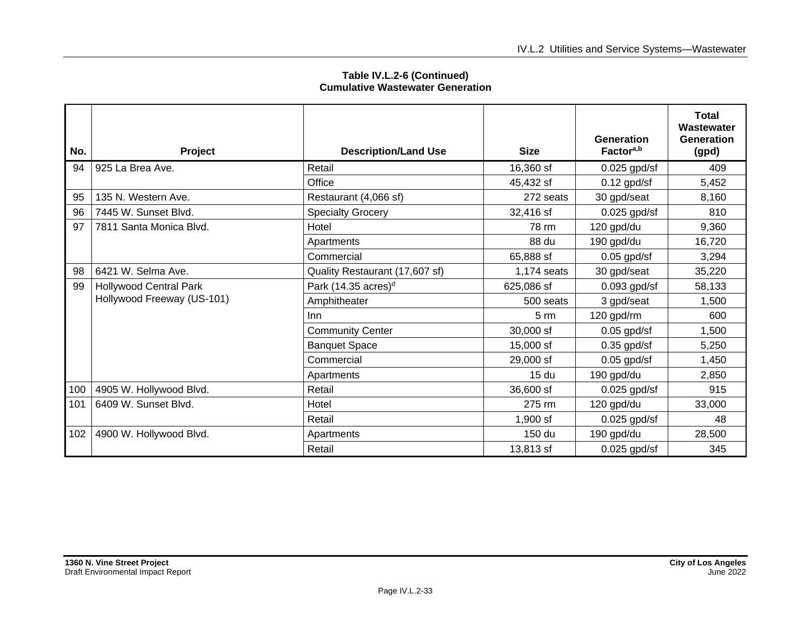| No. | Project                       | <b>Description/Land Use</b>     | <b>Size</b>      | Generation<br>Factor <sup>a,b</sup> | <b>Total</b><br>Wastewater<br>Generation<br>(gpd) |
|-----|-------------------------------|---------------------------------|------------------|-------------------------------------|---------------------------------------------------|
| 94  | 925 La Brea Ave.              | Retail                          | 16,360 sf        | $0.025$ gpd/sf                      | 409                                               |
|     |                               | Office                          | 45,432 sf        | $0.12$ gpd/sf                       | 5,452                                             |
| 95  | 135 N. Western Ave.           | Restaurant (4,066 sf)           | 272 seats        | 30 gpd/seat                         | 8,160                                             |
| 96  | 7445 W. Sunset Blvd.          | <b>Specialty Grocery</b>        | 32,416 sf        | $0.025$ gpd/sf                      | 810                                               |
| 97  | 7811 Santa Monica Blvd.       | Hotel                           | 78 rm            | 120 gpd/du                          | 9,360                                             |
|     |                               | Apartments                      | 88 du            | 190 gpd/du                          | 16,720                                            |
|     |                               | Commercial                      | 65,888 sf        | $0.05$ gpd/sf                       | 3,294                                             |
| 98  | 6421 W. Selma Ave.            | Quality Restaurant (17,607 sf)  | 1,174 seats      | 30 gpd/seat                         | 35,220                                            |
| 99  | <b>Hollywood Central Park</b> | Park (14.35 acres) <sup>d</sup> | 625,086 sf       | $0.093$ gpd/sf                      | 58,133                                            |
|     | Hollywood Freeway (US-101)    | Amphitheater                    | 500 seats        | 3 gpd/seat                          | 1,500                                             |
|     |                               | Inn                             | $5 \, \text{rm}$ | 120 gpd/rm                          | 600                                               |
|     |                               | <b>Community Center</b>         | 30,000 sf        | $0.05$ gpd/sf                       | 1,500                                             |
|     |                               | <b>Banquet Space</b>            | 15,000 sf        | $0.35$ gpd/sf                       | 5,250                                             |
|     |                               | Commercial                      | 29,000 sf        | $0.05$ gpd/sf                       | 1,450                                             |
|     |                               | Apartments                      | 15 <sub>du</sub> | 190 gpd/du                          | 2,850                                             |
| 100 | 4905 W. Hollywood Blvd.       | Retail                          | 36,600 sf        | $0.025$ gpd/sf                      | 915                                               |
| 101 | 6409 W. Sunset Blvd.          | Hotel                           | 275 rm           | 120 gpd/du                          | 33,000                                            |
|     |                               | Retail                          | $1,900$ sf       | $0.025$ gpd/sf                      | 48                                                |
| 102 | 4900 W. Hollywood Blvd.       | Apartments                      | 150 du           | 190 gpd/du                          | 28,500                                            |
|     |                               | Retail                          | 13,813 sf        | $0.025$ gpd/sf                      | 345                                               |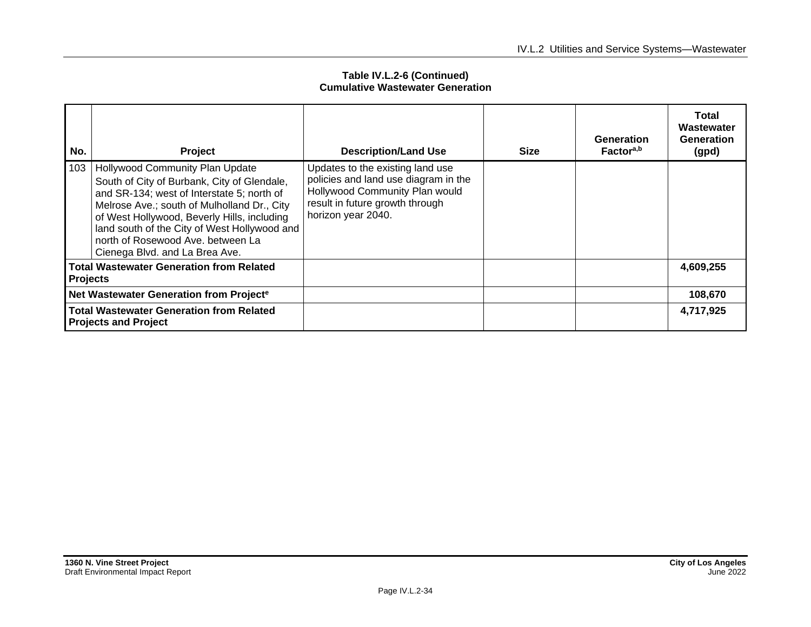| No.                                                                            | Project                                                                                                                                                                                                                                                                                                                                           | <b>Description/Land Use</b>                                                                                                                                         | <b>Size</b> | Generation<br>Factor <sup>a,b</sup> | <b>Total</b><br>Wastewater<br><b>Generation</b><br>(gpd) |
|--------------------------------------------------------------------------------|---------------------------------------------------------------------------------------------------------------------------------------------------------------------------------------------------------------------------------------------------------------------------------------------------------------------------------------------------|---------------------------------------------------------------------------------------------------------------------------------------------------------------------|-------------|-------------------------------------|----------------------------------------------------------|
| 103                                                                            | Hollywood Community Plan Update<br>South of City of Burbank, City of Glendale,<br>and SR-134; west of Interstate 5; north of<br>Melrose Ave.; south of Mulholland Dr., City<br>of West Hollywood, Beverly Hills, including<br>land south of the City of West Hollywood and<br>north of Rosewood Ave, between La<br>Cienega Blvd. and La Brea Ave. | Updates to the existing land use<br>policies and land use diagram in the<br>Hollywood Community Plan would<br>result in future growth through<br>horizon year 2040. |             |                                     |                                                          |
| <b>Total Wastewater Generation from Related</b><br><b>Projects</b>             |                                                                                                                                                                                                                                                                                                                                                   |                                                                                                                                                                     |             |                                     | 4,609,255                                                |
| Net Wastewater Generation from Projecte                                        |                                                                                                                                                                                                                                                                                                                                                   |                                                                                                                                                                     |             |                                     | 108,670                                                  |
| <b>Total Wastewater Generation from Related</b><br><b>Projects and Project</b> |                                                                                                                                                                                                                                                                                                                                                   |                                                                                                                                                                     |             |                                     | 4,717,925                                                |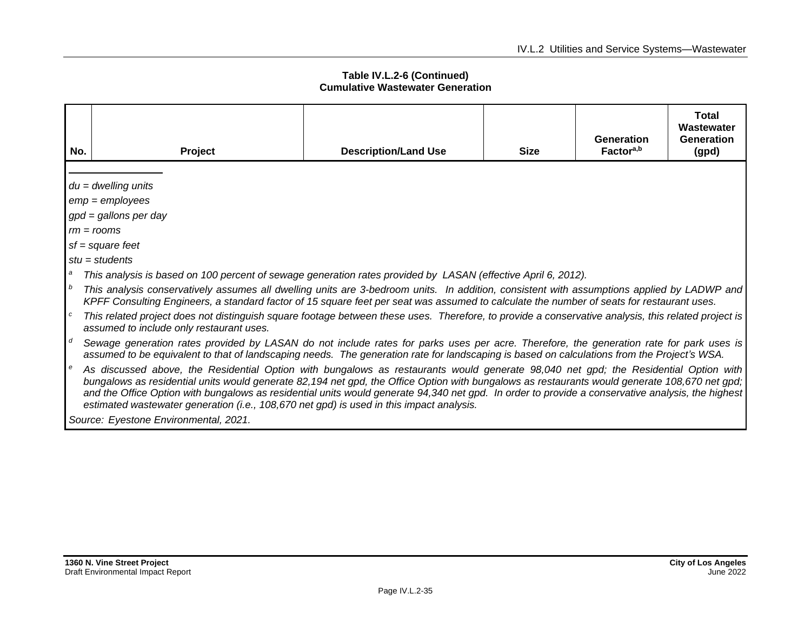| No.            | Project                                                                                                                                                                                                                                                                                                                                                                                                                                                                                                                               | <b>Description/Land Use</b> | <b>Size</b> | Generation<br>Factor <sup>a,b</sup> | <b>Total</b><br>Wastewater<br>Generation<br>(gpd) |  |
|----------------|---------------------------------------------------------------------------------------------------------------------------------------------------------------------------------------------------------------------------------------------------------------------------------------------------------------------------------------------------------------------------------------------------------------------------------------------------------------------------------------------------------------------------------------|-----------------------------|-------------|-------------------------------------|---------------------------------------------------|--|
|                |                                                                                                                                                                                                                                                                                                                                                                                                                                                                                                                                       |                             |             |                                     |                                                   |  |
|                | $du = dwelling$ units                                                                                                                                                                                                                                                                                                                                                                                                                                                                                                                 |                             |             |                                     |                                                   |  |
|                | $emp = employees$                                                                                                                                                                                                                                                                                                                                                                                                                                                                                                                     |                             |             |                                     |                                                   |  |
|                | $gpd = gallons$ per day                                                                                                                                                                                                                                                                                                                                                                                                                                                                                                               |                             |             |                                     |                                                   |  |
|                | $rm = rooms$                                                                                                                                                                                                                                                                                                                                                                                                                                                                                                                          |                             |             |                                     |                                                   |  |
|                | $sf = square feet$                                                                                                                                                                                                                                                                                                                                                                                                                                                                                                                    |                             |             |                                     |                                                   |  |
|                | $stu = students$                                                                                                                                                                                                                                                                                                                                                                                                                                                                                                                      |                             |             |                                     |                                                   |  |
| a              | This analysis is based on 100 percent of sewage generation rates provided by LASAN (effective April 6, 2012).                                                                                                                                                                                                                                                                                                                                                                                                                         |                             |             |                                     |                                                   |  |
| $\mathbf{b}$   | This analysis conservatively assumes all dwelling units are 3-bedroom units. In addition, consistent with assumptions applied by LADWP and<br>KPFF Consulting Engineers, a standard factor of 15 square feet per seat was assumed to calculate the number of seats for restaurant uses.                                                                                                                                                                                                                                               |                             |             |                                     |                                                   |  |
| $\overline{c}$ | This related project does not distinguish square footage between these uses. Therefore, to provide a conservative analysis, this related project is<br>assumed to include only restaurant uses.                                                                                                                                                                                                                                                                                                                                       |                             |             |                                     |                                                   |  |
| $\mathsf{I}$ d | Sewage generation rates provided by LASAN do not include rates for parks uses per acre. Therefore, the generation rate for park uses is<br>assumed to be equivalent to that of landscaping needs. The generation rate for landscaping is based on calculations from the Project's WSA.                                                                                                                                                                                                                                                |                             |             |                                     |                                                   |  |
| $\epsilon$     | As discussed above, the Residential Option with bungalows as restaurants would generate 98,040 net gpd; the Residential Option with<br>bungalows as residential units would generate 82,194 net gpd, the Office Option with bungalows as restaurants would generate 108,670 net gpd;<br>and the Office Option with bungalows as residential units would generate 94,340 net gpd. In order to provide a conservative analysis, the highest<br>estimated wastewater generation (i.e., 108,670 net gpd) is used in this impact analysis. |                             |             |                                     |                                                   |  |
|                | Source: Eyestone Environmental, 2021.                                                                                                                                                                                                                                                                                                                                                                                                                                                                                                 |                             |             |                                     |                                                   |  |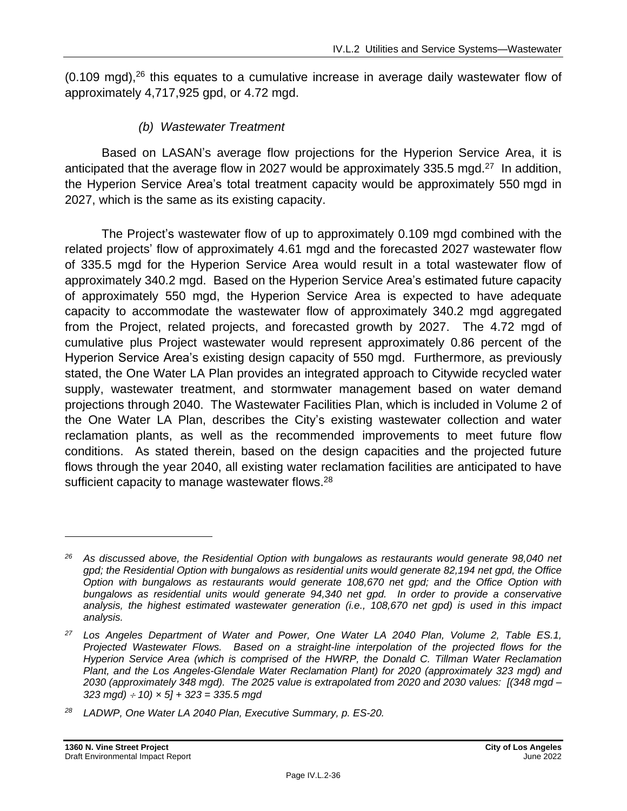$(0.109 \text{ mod})$ ,<sup>26</sup> this equates to a cumulative increase in average daily wastewater flow of approximately 4,717,925 gpd, or 4.72 mgd.

### *(b) Wastewater Treatment*

Based on LASAN's average flow projections for the Hyperion Service Area, it is anticipated that the average flow in 2027 would be approximately 335.5 mgd. $27$  In addition, the Hyperion Service Area's total treatment capacity would be approximately 550 mgd in 2027, which is the same as its existing capacity.

The Project's wastewater flow of up to approximately 0.109 mgd combined with the related projects' flow of approximately 4.61 mgd and the forecasted 2027 wastewater flow of 335.5 mgd for the Hyperion Service Area would result in a total wastewater flow of approximately 340.2 mgd. Based on the Hyperion Service Area's estimated future capacity of approximately 550 mgd, the Hyperion Service Area is expected to have adequate capacity to accommodate the wastewater flow of approximately 340.2 mgd aggregated from the Project, related projects, and forecasted growth by 2027. The 4.72 mgd of cumulative plus Project wastewater would represent approximately 0.86 percent of the Hyperion Service Area's existing design capacity of 550 mgd. Furthermore, as previously stated, the One Water LA Plan provides an integrated approach to Citywide recycled water supply, wastewater treatment, and stormwater management based on water demand projections through 2040. The Wastewater Facilities Plan, which is included in Volume 2 of the One Water LA Plan, describes the City's existing wastewater collection and water reclamation plants, as well as the recommended improvements to meet future flow conditions. As stated therein, based on the design capacities and the projected future flows through the year 2040, all existing water reclamation facilities are anticipated to have sufficient capacity to manage wastewater flows.<sup>28</sup>

*<sup>26</sup> As discussed above, the Residential Option with bungalows as restaurants would generate 98,040 net gpd; the Residential Option with bungalows as residential units would generate 82,194 net gpd, the Office Option with bungalows as restaurants would generate 108,670 net gpd; and the Office Option with bungalows as residential units would generate 94,340 net gpd. In order to provide a conservative analysis, the highest estimated wastewater generation (i.e., 108,670 net gpd) is used in this impact analysis.*

*<sup>27</sup> Los Angeles Department of Water and Power, One Water LA 2040 Plan, Volume 2, Table ES.1, Projected Wastewater Flows. Based on a straight-line interpolation of the projected flows for the Hyperion Service Area (which is comprised of the HWRP, the Donald C. Tillman Water Reclamation Plant, and the Los Angeles-Glendale Water Reclamation Plant) for 2020 (approximately 323 mgd) and 2030 (approximately 348 mgd). The 2025 value is extrapolated from 2020 and 2030 values: [(348 mgd – 323 mgd) 10) × 5] + 323 = 335.5 mgd*

*<sup>28</sup> LADWP, One Water LA 2040 Plan, Executive Summary, p. ES-20.*